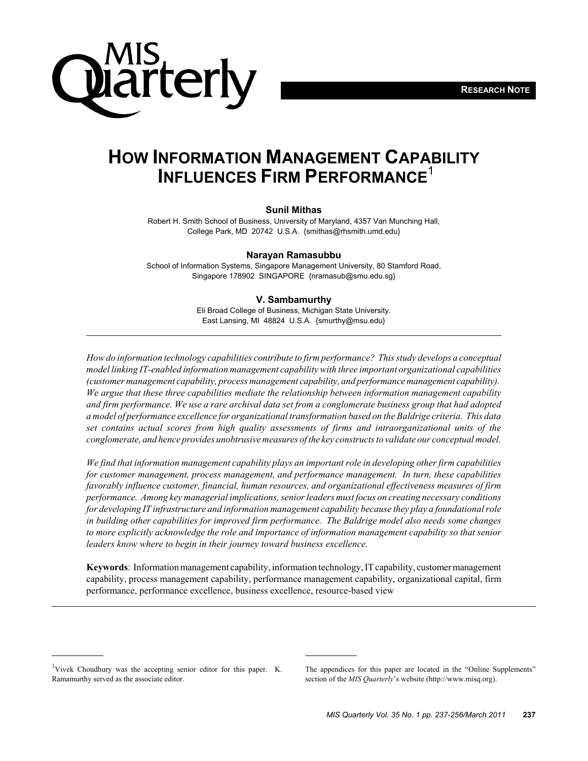

## **HOW INFORMATION MANAGEMENT CAPABILITY INFLUENCES FIRM PERFORMANCE**<sup>1</sup>

#### **Sunil Mithas**

Robert H. Smith School of Business, University of Maryland, 4357 Van Munching Hall, College Park, MD 20742 U.S.A. {smithas@rhsmith.umd.edu}

#### **Narayan Ramasubbu**

School of Information Systems, Singapore Management University, 80 Stamford Road, Singapore 178902 SINGAPORE {nramasub@smu.edu.sg}

#### **V. Sambamurthy**

Eli Broad College of Business, Michigan State University. East Lansing, MI 48824 U.S.A. {smurthy@msu.edu}

*How do information technology capabilities contribute to firm performance? This study develops a conceptual model linking IT-enabled information management capability with three important organizational capabilities (customer management capability, process management capability, and performance management capability). We argue that these three capabilities mediate the relationship between information management capability and firm performance. We use a rare archival data set from a conglomerate business group that had adopted a model of performance excellence for organizational transformation based on the Baldrige criteria. This data set contains actual scores from high quality assessments of firms and intraorganizational units of the conglomerate, and hence provides unobtrusive measures of the key constructs to validate our conceptual model.*

*We find that information management capability plays an important role in developing other firm capabilities for customer management, process management, and performance management. In turn, these capabilities favorably influence customer, financial, human resources, and organizational effectiveness measures of firm performance. Among key managerial implications, senior leaders must focus on creating necessary conditions for developing IT infrastructure and information management capability because they play a foundational role in building other capabilities for improved firm performance. The Baldrige model also needs some changes to more explicitly acknowledge the role and importance of information management capability so that senior leaders know where to begin in their journey toward business excellence.*

**Keywords**: Information management capability, information technology, IT capability, customer management capability, process management capability, performance management capability, organizational capital, firm performance, performance excellence, business excellence, resource-based view

<sup>&</sup>lt;sup>1</sup>Vivek Choudhury was the accepting senior editor for this paper. K. Ramamurthy served as the associate editor.

The appendices for this paper are located in the "Online Supplements" section of the *MIS Quarterly*'s website (http://www.misq.org).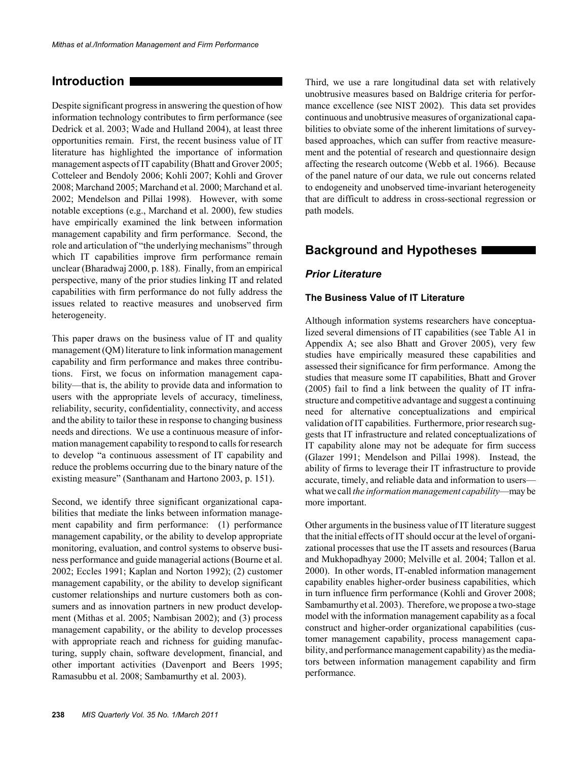### **Introduction**

Despite significant progress in answering the question of how information technology contributes to firm performance (see Dedrick et al. 2003; Wade and Hulland 2004), at least three opportunities remain. First, the recent business value of IT literature has highlighted the importance of information management aspects of IT capability (Bhatt and Grover 2005; Cotteleer and Bendoly 2006; Kohli 2007; Kohli and Grover 2008; Marchand 2005; Marchand et al. 2000; Marchand et al. 2002; Mendelson and Pillai 1998). However, with some notable exceptions (e.g., Marchand et al. 2000), few studies have empirically examined the link between information management capability and firm performance. Second, the role and articulation of "the underlying mechanisms" through which IT capabilities improve firm performance remain unclear (Bharadwaj 2000, p. 188). Finally, from an empirical perspective, many of the prior studies linking IT and related capabilities with firm performance do not fully address the issues related to reactive measures and unobserved firm heterogeneity.

This paper draws on the business value of IT and quality management (QM) literature to link information management capability and firm performance and makes three contributions. First, we focus on information management capability—that is, the ability to provide data and information to users with the appropriate levels of accuracy, timeliness, reliability, security, confidentiality, connectivity, and access and the ability to tailor these in response to changing business needs and directions. We use a continuous measure of information management capability to respond to calls for research to develop "a continuous assessment of IT capability and reduce the problems occurring due to the binary nature of the existing measure" (Santhanam and Hartono 2003, p. 151).

Second, we identify three significant organizational capabilities that mediate the links between information management capability and firm performance: (1) performance management capability, or the ability to develop appropriate monitoring, evaluation, and control systems to observe business performance and guide managerial actions (Bourne et al. 2002; Eccles 1991; Kaplan and Norton 1992); (2) customer management capability, or the ability to develop significant customer relationships and nurture customers both as consumers and as innovation partners in new product development (Mithas et al. 2005; Nambisan 2002); and (3) process management capability, or the ability to develop processes with appropriate reach and richness for guiding manufacturing, supply chain, software development, financial, and other important activities (Davenport and Beers 1995; Ramasubbu et al. 2008; Sambamurthy et al. 2003).

Third, we use a rare longitudinal data set with relatively unobtrusive measures based on Baldrige criteria for performance excellence (see NIST 2002). This data set provides continuous and unobtrusive measures of organizational capabilities to obviate some of the inherent limitations of surveybased approaches, which can suffer from reactive measurement and the potential of research and questionnaire design affecting the research outcome (Webb et al. 1966). Because of the panel nature of our data, we rule out concerns related to endogeneity and unobserved time-invariant heterogeneity that are difficult to address in cross-sectional regression or path models.

### **Background and Hypotheses**

#### *Prior Literature*

#### **The Business Value of IT Literature**

Although information systems researchers have conceptualized several dimensions of IT capabilities (see Table A1 in Appendix A; see also Bhatt and Grover 2005), very few studies have empirically measured these capabilities and assessed their significance for firm performance. Among the studies that measure some IT capabilities, Bhatt and Grover (2005) fail to find a link between the quality of IT infrastructure and competitive advantage and suggest a continuing need for alternative conceptualizations and empirical validation of IT capabilities. Furthermore, prior research suggests that IT infrastructure and related conceptualizations of IT capability alone may not be adequate for firm success (Glazer 1991; Mendelson and Pillai 1998). Instead, the ability of firms to leverage their IT infrastructure to provide accurate, timely, and reliable data and information to users what we call *the information management capability*—may be more important.

Other arguments in the business value of IT literature suggest that the initial effects of IT should occur at the level of organizational processes that use the IT assets and resources (Barua and Mukhopadhyay 2000; Melville et al. 2004; Tallon et al. 2000). In other words, IT-enabled information management capability enables higher-order business capabilities, which in turn influence firm performance (Kohli and Grover 2008; Sambamurthy et al. 2003). Therefore, we propose a two-stage model with the information management capability as a focal construct and higher-order organizational capabilities (customer management capability, process management capability, and performance management capability) as the mediators between information management capability and firm performance.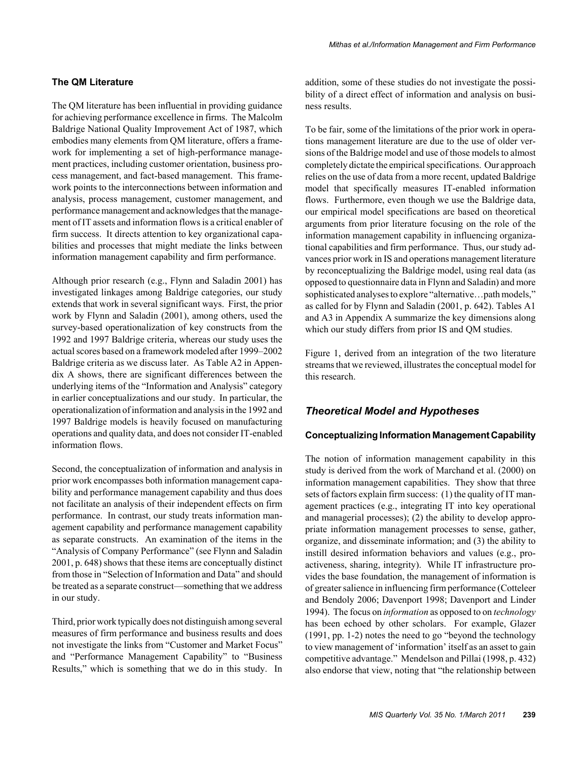#### **The QM Literature**

The QM literature has been influential in providing guidance for achieving performance excellence in firms. The Malcolm Baldrige National Quality Improvement Act of 1987, which embodies many elements from QM literature, offers a framework for implementing a set of high-performance management practices, including customer orientation, business process management, and fact-based management. This framework points to the interconnections between information and analysis, process management, customer management, and performance management and acknowledges that the management of IT assets and information flows is a critical enabler of firm success. It directs attention to key organizational capabilities and processes that might mediate the links between information management capability and firm performance.

Although prior research (e.g., Flynn and Saladin 2001) has investigated linkages among Baldrige categories, our study extends that work in several significant ways. First, the prior work by Flynn and Saladin (2001), among others, used the survey-based operationalization of key constructs from the 1992 and 1997 Baldrige criteria, whereas our study uses the actual scores based on a framework modeled after 1999–2002 Baldrige criteria as we discuss later. As Table A2 in Appendix A shows, there are significant differences between the underlying items of the "Information and Analysis" category in earlier conceptualizations and our study. In particular, the operationalization of information and analysis in the 1992 and 1997 Baldrige models is heavily focused on manufacturing operations and quality data, and does not consider IT-enabled information flows.

Second, the conceptualization of information and analysis in prior work encompasses both information management capability and performance management capability and thus does not facilitate an analysis of their independent effects on firm performance. In contrast, our study treats information management capability and performance management capability as separate constructs. An examination of the items in the "Analysis of Company Performance" (see Flynn and Saladin 2001, p. 648) shows that these items are conceptually distinct from those in "Selection of Information and Data" and should be treated as a separate construct—something that we address in our study.

Third, prior work typically does not distinguish among several measures of firm performance and business results and does not investigate the links from "Customer and Market Focus" and "Performance Management Capability" to "Business Results," which is something that we do in this study. In addition, some of these studies do not investigate the possibility of a direct effect of information and analysis on business results.

To be fair, some of the limitations of the prior work in operations management literature are due to the use of older versions of the Baldrige model and use of those models to almost completely dictate the empirical specifications. Our approach relies on the use of data from a more recent, updated Baldrige model that specifically measures IT-enabled information flows. Furthermore, even though we use the Baldrige data, our empirical model specifications are based on theoretical arguments from prior literature focusing on the role of the information management capability in influencing organizational capabilities and firm performance. Thus, our study advances prior work in IS and operations management literature by reconceptualizing the Baldrige model, using real data (as opposed to questionnaire data in Flynn and Saladin) and more sophisticated analyses to explore "alternative...path models," as called for by Flynn and Saladin (2001, p. 642). Tables A1 and A3 in Appendix A summarize the key dimensions along which our study differs from prior IS and QM studies.

Figure 1, derived from an integration of the two literature streams that we reviewed, illustrates the conceptual model for this research.

#### *Theoretical Model and Hypotheses*

#### **Conceptualizing Information Management Capability**

The notion of information management capability in this study is derived from the work of Marchand et al. (2000) on information management capabilities. They show that three sets of factors explain firm success: (1) the quality of IT management practices (e.g., integrating IT into key operational and managerial processes); (2) the ability to develop appropriate information management processes to sense, gather, organize, and disseminate information; and (3) the ability to instill desired information behaviors and values (e.g., proactiveness, sharing, integrity). While IT infrastructure provides the base foundation, the management of information is of greater salience in influencing firm performance (Cotteleer and Bendoly 2006; Davenport 1998; Davenport and Linder 1994). The focus on *information* as opposed to on *technology* has been echoed by other scholars. For example, Glazer (1991, pp. 1-2) notes the need to go "beyond the technology to view management of 'information' itself as an asset to gain competitive advantage." Mendelson and Pillai (1998, p. 432) also endorse that view, noting that "the relationship between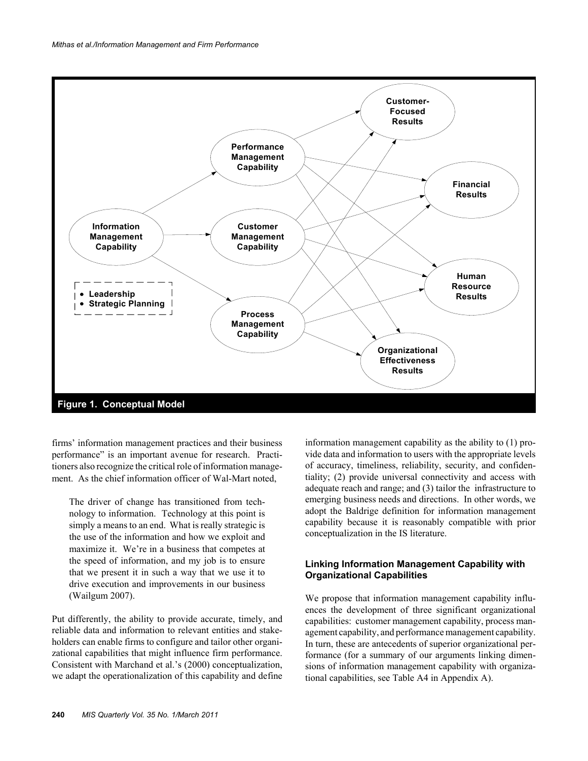

firms' information management practices and their business performance" is an important avenue for research. Practitioners also recognize the critical role of information management. As the chief information officer of Wal-Mart noted,

The driver of change has transitioned from technology to information. Technology at this point is simply a means to an end. What is really strategic is the use of the information and how we exploit and maximize it. We're in a business that competes at the speed of information, and my job is to ensure that we present it in such a way that we use it to drive execution and improvements in our business (Wailgum 2007).

Put differently, the ability to provide accurate, timely, and reliable data and information to relevant entities and stakeholders can enable firms to configure and tailor other organizational capabilities that might influence firm performance. Consistent with Marchand et al.'s (2000) conceptualization, we adapt the operationalization of this capability and define

information management capability as the ability to (1) provide data and information to users with the appropriate levels of accuracy, timeliness, reliability, security, and confidentiality; (2) provide universal connectivity and access with adequate reach and range; and (3) tailor the infrastructure to emerging business needs and directions. In other words, we adopt the Baldrige definition for information management capability because it is reasonably compatible with prior conceptualization in the IS literature.

#### **Linking Information Management Capability with Organizational Capabilities**

We propose that information management capability influences the development of three significant organizational capabilities: customer management capability, process management capability, and performance management capability. In turn, these are antecedents of superior organizational performance (for a summary of our arguments linking dimensions of information management capability with organizational capabilities, see Table A4 in Appendix A).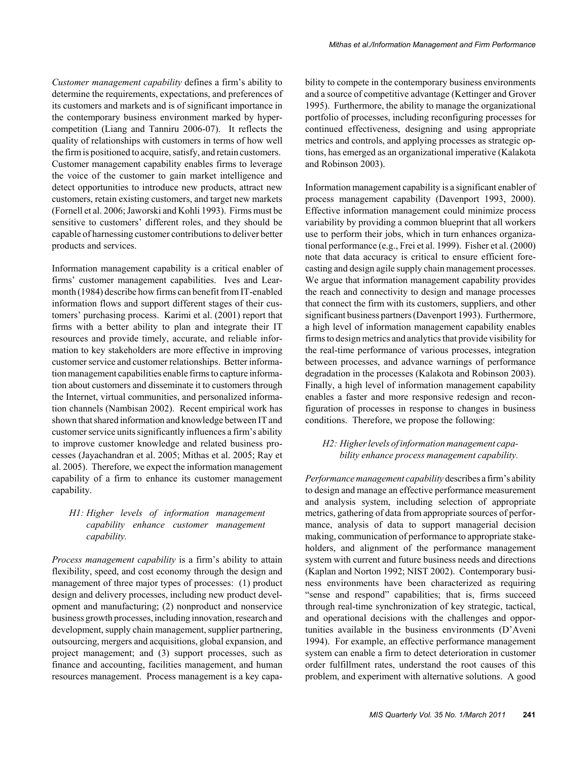*Customer management capability* defines a firm's ability to determine the requirements, expectations, and preferences of its customers and markets and is of significant importance in the contemporary business environment marked by hypercompetition (Liang and Tanniru 2006-07). It reflects the quality of relationships with customers in terms of how well the firm is positioned to acquire, satisfy, and retain customers. Customer management capability enables firms to leverage the voice of the customer to gain market intelligence and detect opportunities to introduce new products, attract new customers, retain existing customers, and target new markets (Fornell et al. 2006; Jaworski and Kohli 1993). Firms must be sensitive to customers' different roles, and they should be capable of harnessing customer contributions to deliver better products and services.

Information management capability is a critical enabler of firms' customer management capabilities. Ives and Learmonth (1984) describe how firms can benefit from IT-enabled information flows and support different stages of their customers' purchasing process. Karimi et al. (2001) report that firms with a better ability to plan and integrate their IT resources and provide timely, accurate, and reliable information to key stakeholders are more effective in improving customer service and customer relationships. Better information management capabilities enable firms to capture information about customers and disseminate it to customers through the Internet, virtual communities, and personalized information channels (Nambisan 2002). Recent empirical work has shown that shared information and knowledge between IT and customer service units significantly influences a firm's ability to improve customer knowledge and related business processes (Jayachandran et al. 2005; Mithas et al. 2005; Ray et al. 2005). Therefore, we expect the information management capability of a firm to enhance its customer management capability.

#### *H1: Higher levels of information management capability enhance customer management capability.*

*Process management capability* is a firm's ability to attain flexibility, speed, and cost economy through the design and management of three major types of processes: (1) product design and delivery processes, including new product development and manufacturing; (2) nonproduct and nonservice business growth processes, including innovation, research and development, supply chain management, supplier partnering, outsourcing, mergers and acquisitions, global expansion, and project management; and (3) support processes, such as finance and accounting, facilities management, and human resources management. Process management is a key capability to compete in the contemporary business environments and a source of competitive advantage (Kettinger and Grover 1995). Furthermore, the ability to manage the organizational portfolio of processes, including reconfiguring processes for continued effectiveness, designing and using appropriate metrics and controls, and applying processes as strategic options, has emerged as an organizational imperative (Kalakota and Robinson 2003).

Information management capability is a significant enabler of process management capability (Davenport 1993, 2000). Effective information management could minimize process variability by providing a common blueprint that all workers use to perform their jobs, which in turn enhances organizational performance (e.g., Frei et al. 1999). Fisher et al. (2000) note that data accuracy is critical to ensure efficient forecasting and design agile supply chain management processes. We argue that information management capability provides the reach and connectivity to design and manage processes that connect the firm with its customers, suppliers, and other significant business partners (Davenport 1993). Furthermore, a high level of information management capability enables firms to design metrics and analytics that provide visibility for the real-time performance of various processes, integration between processes, and advance warnings of performance degradation in the processes (Kalakota and Robinson 2003). Finally, a high level of information management capability enables a faster and more responsive redesign and reconfiguration of processes in response to changes in business conditions. Therefore, we propose the following:

#### *H2: Higher levels of information management capability enhance process management capability.*

*Performance management capability* describes a firm's ability to design and manage an effective performance measurement and analysis system, including selection of appropriate metrics, gathering of data from appropriate sources of performance, analysis of data to support managerial decision making, communication of performance to appropriate stakeholders, and alignment of the performance management system with current and future business needs and directions (Kaplan and Norton 1992; NIST 2002). Contemporary business environments have been characterized as requiring "sense and respond" capabilities; that is, firms succeed through real-time synchronization of key strategic, tactical, and operational decisions with the challenges and opportunities available in the business environments (D'Aveni 1994). For example, an effective performance management system can enable a firm to detect deterioration in customer order fulfillment rates, understand the root causes of this problem, and experiment with alternative solutions. A good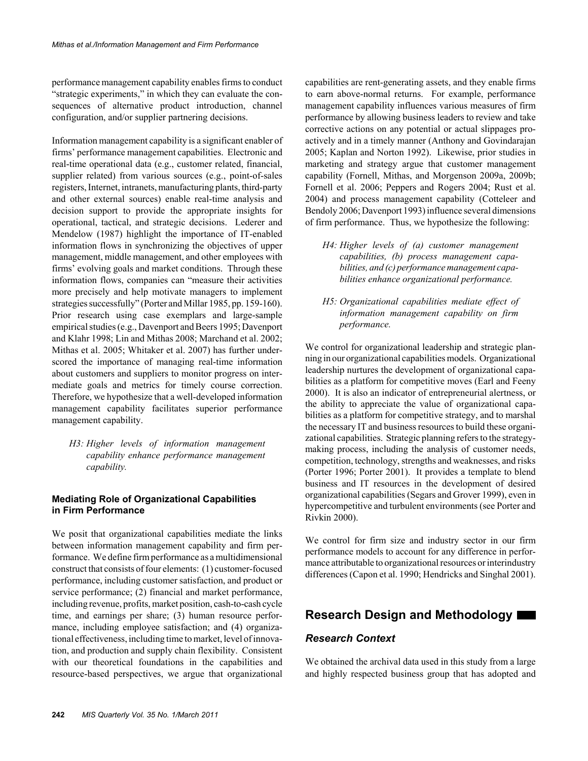performance management capability enables firms to conduct "strategic experiments," in which they can evaluate the consequences of alternative product introduction, channel configuration, and/or supplier partnering decisions.

Information management capability is a significant enabler of firms' performance management capabilities. Electronic and real-time operational data (e.g., customer related, financial, supplier related) from various sources (e.g., point-of-sales registers, Internet, intranets, manufacturing plants, third-party and other external sources) enable real-time analysis and decision support to provide the appropriate insights for operational, tactical, and strategic decisions. Lederer and Mendelow (1987) highlight the importance of IT-enabled information flows in synchronizing the objectives of upper management, middle management, and other employees with firms' evolving goals and market conditions. Through these information flows, companies can "measure their activities more precisely and help motivate managers to implement strategies successfully" (Porter and Millar 1985, pp. 159-160). Prior research using case exemplars and large-sample empirical studies (e.g., Davenport and Beers 1995; Davenport and Klahr 1998; Lin and Mithas 2008; Marchand et al. 2002; Mithas et al. 2005; Whitaker et al. 2007) has further underscored the importance of managing real-time information about customers and suppliers to monitor progress on intermediate goals and metrics for timely course correction. Therefore, we hypothesize that a well-developed information management capability facilitates superior performance management capability.

*H3: Higher levels of information management capability enhance performance management capability.*

#### **Mediating Role of Organizational Capabilities in Firm Performance**

We posit that organizational capabilities mediate the links between information management capability and firm performance. We define firm performance as a multidimensional construct that consists of four elements: (1) customer-focused performance, including customer satisfaction, and product or service performance; (2) financial and market performance, including revenue, profits, market position, cash-to-cash cycle time, and earnings per share; (3) human resource performance, including employee satisfaction; and (4) organizational effectiveness, including time to market, level of innovation, and production and supply chain flexibility. Consistent with our theoretical foundations in the capabilities and resource-based perspectives, we argue that organizational

capabilities are rent-generating assets, and they enable firms to earn above-normal returns. For example, performance management capability influences various measures of firm performance by allowing business leaders to review and take corrective actions on any potential or actual slippages proactively and in a timely manner (Anthony and Govindarajan 2005; Kaplan and Norton 1992). Likewise, prior studies in marketing and strategy argue that customer management capability (Fornell, Mithas, and Morgenson 2009a, 2009b; Fornell et al. 2006; Peppers and Rogers 2004; Rust et al. 2004) and process management capability (Cotteleer and Bendoly 2006; Davenport 1993) influence several dimensions of firm performance. Thus, we hypothesize the following:

- *H4: Higher levels of (a) customer management capabilities, (b) process management capabilities, and (c) performance management capabilities enhance organizational performance.*
- *H5: Organizational capabilities mediate effect of information management capability on firm performance.*

We control for organizational leadership and strategic planning in our organizational capabilities models. Organizational leadership nurtures the development of organizational capabilities as a platform for competitive moves (Earl and Feeny 2000). It is also an indicator of entrepreneurial alertness, or the ability to appreciate the value of organizational capabilities as a platform for competitive strategy, and to marshal the necessary IT and business resources to build these organizational capabilities. Strategic planning refers to the strategymaking process, including the analysis of customer needs, competition, technology, strengths and weaknesses, and risks (Porter 1996; Porter 2001). It provides a template to blend business and IT resources in the development of desired organizational capabilities (Segars and Grover 1999), even in hypercompetitive and turbulent environments (see Porter and Rivkin 2000).

We control for firm size and industry sector in our firm performance models to account for any difference in performance attributable to organizational resources or interindustry differences (Capon et al. 1990; Hendricks and Singhal 2001).

## **Research Design and Methodology**

#### *Research Context*

We obtained the archival data used in this study from a large and highly respected business group that has adopted and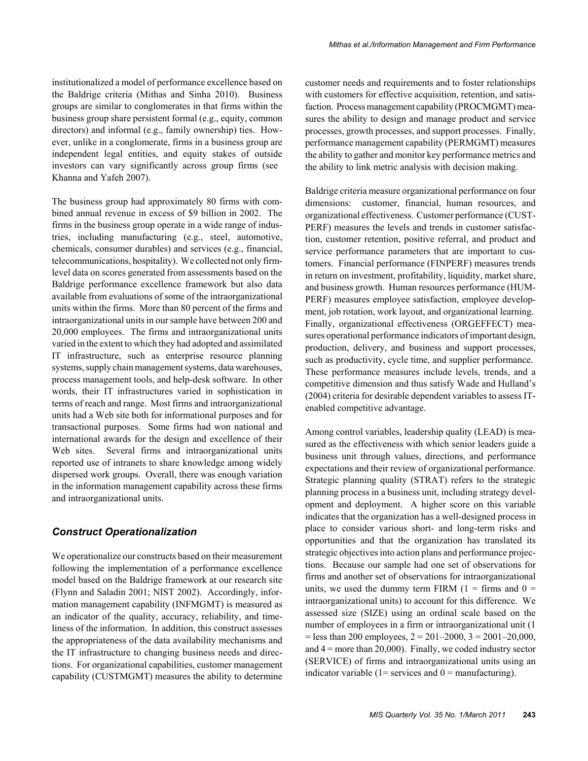institutionalized a model of performance excellence based on the Baldrige criteria (Mithas and Sinha 2010). Business groups are similar to conglomerates in that firms within the business group share persistent formal (e.g., equity, common directors) and informal (e.g., family ownership) ties. However, unlike in a conglomerate, firms in a business group are independent legal entities, and equity stakes of outside investors can vary significantly across group firms (see Khanna and Yafeh 2007).

The business group had approximately 80 firms with combined annual revenue in excess of \$9 billion in 2002. The firms in the business group operate in a wide range of industries, including manufacturing (e.g., steel, automotive, chemicals, consumer durables) and services (e.g., financial, telecommunications, hospitality). We collected not only firmlevel data on scores generated from assessments based on the Baldrige performance excellence framework but also data available from evaluations of some of the intraorganizational units within the firms. More than 80 percent of the firms and intraorganizational units in our sample have between 200 and 20,000 employees. The firms and intraorganizational units varied in the extent to which they had adopted and assimilated IT infrastructure, such as enterprise resource planning systems, supply chain management systems, data warehouses, process management tools, and help-desk software. In other words, their IT infrastructures varied in sophistication in terms of reach and range. Most firms and intraorganizational units had a Web site both for informational purposes and for transactional purposes. Some firms had won national and international awards for the design and excellence of their Web sites. Several firms and intraorganizational units reported use of intranets to share knowledge among widely dispersed work groups. Overall, there was enough variation in the information management capability across these firms and intraorganizational units.

#### *Construct Operationalization*

We operationalize our constructs based on their measurement following the implementation of a performance excellence model based on the Baldrige framework at our research site (Flynn and Saladin 2001; NIST 2002). Accordingly, information management capability (INFMGMT) is measured as an indicator of the quality, accuracy, reliability, and timeliness of the information. In addition, this construct assesses the appropriateness of the data availability mechanisms and the IT infrastructure to changing business needs and directions. For organizational capabilities, customer management capability (CUSTMGMT) measures the ability to determine

customer needs and requirements and to foster relationships with customers for effective acquisition, retention, and satisfaction. Process management capability (PROCMGMT) measures the ability to design and manage product and service processes, growth processes, and support processes. Finally, performance management capability (PERMGMT) measures the ability to gather and monitor key performance metrics and the ability to link metric analysis with decision making.

Baldrige criteria measure organizational performance on four dimensions: customer, financial, human resources, and organizational effectiveness. Customer performance (CUST-PERF) measures the levels and trends in customer satisfaction, customer retention, positive referral, and product and service performance parameters that are important to customers. Financial performance (FINPERF) measures trends in return on investment, profitability, liquidity, market share, and business growth. Human resources performance (HUM-PERF) measures employee satisfaction, employee development, job rotation, work layout, and organizational learning. Finally, organizational effectiveness (ORGEFFECT) measures operational performance indicators of important design, production, delivery, and business and support processes, such as productivity, cycle time, and supplier performance. These performance measures include levels, trends, and a competitive dimension and thus satisfy Wade and Hulland's (2004) criteria for desirable dependent variables to assess ITenabled competitive advantage.

Among control variables, leadership quality (LEAD) is measured as the effectiveness with which senior leaders guide a business unit through values, directions, and performance expectations and their review of organizational performance. Strategic planning quality (STRAT) refers to the strategic planning process in a business unit, including strategy development and deployment. A higher score on this variable indicates that the organization has a well-designed process in place to consider various short- and long-term risks and opportunities and that the organization has translated its strategic objectives into action plans and performance projections. Because our sample had one set of observations for firms and another set of observations for intraorganizational units, we used the dummy term FIRM  $(1 = \text{ firms and } 0 =$ intraorganizational units) to account for this difference. We assessed size (SIZE) using an ordinal scale based on the number of employees in a firm or intraorganizational unit (1  $=$  less than 200 employees,  $2 = 201-2000$ ,  $3 = 2001-20,000$ , and  $4 =$  more than 20,000). Finally, we coded industry sector (SERVICE) of firms and intraorganizational units using an indicator variable (1= services and  $0 =$  manufacturing).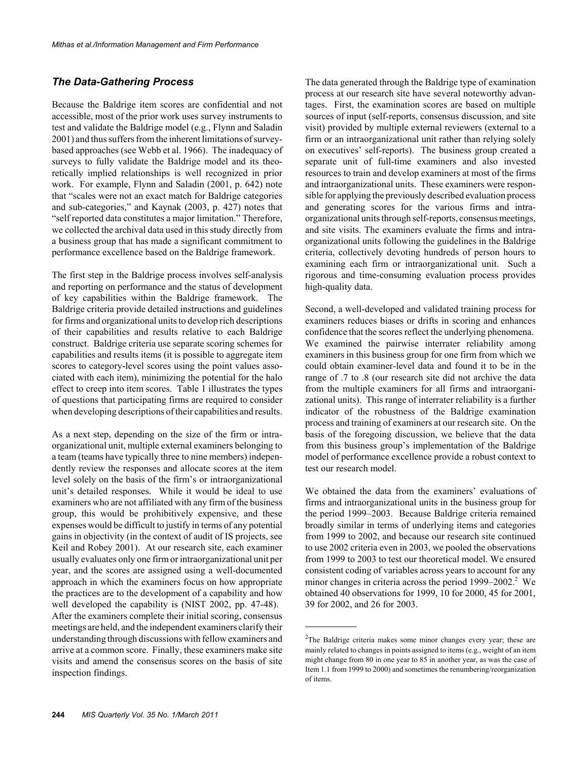#### *The Data-Gathering Process*

Because the Baldrige item scores are confidential and not accessible, most of the prior work uses survey instruments to test and validate the Baldrige model (e.g., Flynn and Saladin 2001) and thus suffers from the inherent limitations of surveybased approaches (see Webb et al. 1966). The inadequacy of surveys to fully validate the Baldrige model and its theoretically implied relationships is well recognized in prior work. For example, Flynn and Saladin (2001, p. 642) note that "scales were not an exact match for Baldrige categories and sub-categories," and Kaynak (2003, p. 427) notes that "self reported data constitutes a major limitation." Therefore, we collected the archival data used in this study directly from a business group that has made a significant commitment to performance excellence based on the Baldrige framework.

The first step in the Baldrige process involves self-analysis and reporting on performance and the status of development of key capabilities within the Baldrige framework. The Baldrige criteria provide detailed instructions and guidelines for firms and organizational units to develop rich descriptions of their capabilities and results relative to each Baldrige construct. Baldrige criteria use separate scoring schemes for capabilities and results items (it is possible to aggregate item scores to category-level scores using the point values associated with each item), minimizing the potential for the halo effect to creep into item scores. Table 1 illustrates the types of questions that participating firms are required to consider when developing descriptions of their capabilities and results.

As a next step, depending on the size of the firm or intraorganizational unit, multiple external examiners belonging to a team (teams have typically three to nine members) independently review the responses and allocate scores at the item level solely on the basis of the firm's or intraorganizational unit's detailed responses. While it would be ideal to use examiners who are not affiliated with any firm of the business group, this would be prohibitively expensive, and these expenses would be difficult to justify in terms of any potential gains in objectivity (in the context of audit of IS projects, see Keil and Robey 2001). At our research site, each examiner usually evaluates only one firm or intraorganizational unit per year, and the scores are assigned using a well-documented approach in which the examiners focus on how appropriate the practices are to the development of a capability and how well developed the capability is (NIST 2002, pp. 47-48). After the examiners complete their initial scoring, consensus meetings are held, and the independent examiners clarify their understanding through discussions with fellow examiners and arrive at a common score. Finally, these examiners make site visits and amend the consensus scores on the basis of site inspection findings.

The data generated through the Baldrige type of examination process at our research site have several noteworthy advantages. First, the examination scores are based on multiple sources of input (self-reports, consensus discussion, and site visit) provided by multiple external reviewers (external to a firm or an intraorganizational unit rather than relying solely on executives' self-reports). The business group created a separate unit of full-time examiners and also invested resources to train and develop examiners at most of the firms and intraorganizational units. These examiners were responsible for applying the previously described evaluation process and generating scores for the various firms and intraorganizational units through self-reports, consensus meetings, and site visits. The examiners evaluate the firms and intraorganizational units following the guidelines in the Baldrige criteria, collectively devoting hundreds of person hours to examining each firm or intraorganizational unit. Such a rigorous and time-consuming evaluation process provides high-quality data.

Second, a well-developed and validated training process for examiners reduces biases or drifts in scoring and enhances confidence that the scores reflect the underlying phenomena. We examined the pairwise interrater reliability among examiners in this business group for one firm from which we could obtain examiner-level data and found it to be in the range of .7 to .8 (our research site did not archive the data from the multiple examiners for all firms and intraorganizational units). This range of interrater reliability is a further indicator of the robustness of the Baldrige examination process and training of examiners at our research site. On the basis of the foregoing discussion, we believe that the data from this business group's implementation of the Baldrige model of performance excellence provide a robust context to test our research model.

We obtained the data from the examiners' evaluations of firms and intraorganizational units in the business group for the period 1999–2003. Because Baldrige criteria remained broadly similar in terms of underlying items and categories from 1999 to 2002, and because our research site continued to use 2002 criteria even in 2003, we pooled the observations from 1999 to 2003 to test our theoretical model. We ensured consistent coding of variables across years to account for any minor changes in criteria across the period  $1999-2002$ .<sup>2</sup> We obtained 40 observations for 1999, 10 for 2000, 45 for 2001, 39 for 2002, and 26 for 2003.

 $2$ The Baldrige criteria makes some minor changes every year; these are mainly related to changes in points assigned to items (e.g., weight of an item might change from 80 in one year to 85 in another year, as was the case of Item 1.1 from 1999 to 2000) and sometimes the renumbering/reorganization of items.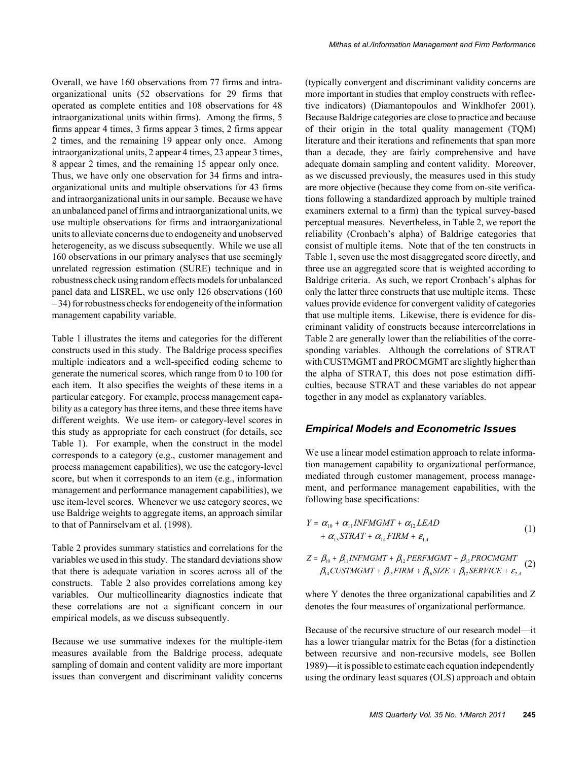Overall, we have 160 observations from 77 firms and intraorganizational units (52 observations for 29 firms that operated as complete entities and 108 observations for 48 intraorganizational units within firms). Among the firms, 5 firms appear 4 times, 3 firms appear 3 times, 2 firms appear 2 times, and the remaining 19 appear only once. Among intraorganizational units, 2 appear 4 times, 23 appear 3 times, 8 appear 2 times, and the remaining 15 appear only once. Thus, we have only one observation for 34 firms and intraorganizational units and multiple observations for 43 firms and intraorganizational units in our sample. Because we have an unbalanced panel of firms and intraorganizational units, we use multiple observations for firms and intraorganizational units to alleviate concerns due to endogeneity and unobserved heterogeneity, as we discuss subsequently. While we use all 160 observations in our primary analyses that use seemingly unrelated regression estimation (SURE) technique and in robustness check using random effects models for unbalanced panel data and LISREL, we use only 126 observations (160 – 34) for robustness checks for endogeneity of the information management capability variable.

Table 1 illustrates the items and categories for the different constructs used in this study. The Baldrige process specifies multiple indicators and a well-specified coding scheme to generate the numerical scores, which range from 0 to 100 for each item. It also specifies the weights of these items in a particular category. For example, process management capability as a category has three items, and these three items have different weights. We use item- or category-level scores in this study as appropriate for each construct (for details, see Table 1). For example, when the construct in the model corresponds to a category (e.g., customer management and process management capabilities), we use the category-level score, but when it corresponds to an item (e.g., information management and performance management capabilities), we use item-level scores. Whenever we use category scores, we use Baldrige weights to aggregate items, an approach similar to that of Pannirselvam et al. (1998).

Table 2 provides summary statistics and correlations for the variables we used in this study. The standard deviations show that there is adequate variation in scores across all of the constructs. Table 2 also provides correlations among key variables. Our multicollinearity diagnostics indicate that these correlations are not a significant concern in our empirical models, as we discuss subsequently.

Because we use summative indexes for the multiple-item measures available from the Baldrige process, adequate sampling of domain and content validity are more important issues than convergent and discriminant validity concerns

(typically convergent and discriminant validity concerns are more important in studies that employ constructs with reflective indicators) (Diamantopoulos and Winklhofer 2001). Because Baldrige categories are close to practice and because of their origin in the total quality management (TQM) literature and their iterations and refinements that span more than a decade, they are fairly comprehensive and have adequate domain sampling and content validity. Moreover, as we discussed previously, the measures used in this study are more objective (because they come from on-site verifications following a standardized approach by multiple trained examiners external to a firm) than the typical survey-based perceptual measures. Nevertheless, in Table 2, we report the reliability (Cronbach's alpha) of Baldrige categories that consist of multiple items. Note that of the ten constructs in Table 1, seven use the most disaggregated score directly, and three use an aggregated score that is weighted according to Baldrige criteria. As such, we report Cronbach's alphas for only the latter three constructs that use multiple items. These values provide evidence for convergent validity of categories that use multiple items. Likewise, there is evidence for discriminant validity of constructs because intercorrelations in Table 2 are generally lower than the reliabilities of the corresponding variables. Although the correlations of STRAT with CUSTMGMT and PROCMGMT are slightly higher than the alpha of STRAT, this does not pose estimation difficulties, because STRAT and these variables do not appear together in any model as explanatory variables.

#### *Empirical Models and Econometric Issues*

We use a linear model estimation approach to relate information management capability to organizational performance, mediated through customer management, process management, and performance management capabilities, with the following base specifications:

$$
Y = \alpha_{10} + \alpha_{11} INFMGMT + \alpha_{12} LEAD + \alpha_{13} STRAT + \alpha_{14} FIRM + \varepsilon_{1A}
$$
 (1)

$$
Z = \beta_{10} + \beta_{11} INFMGMT + \beta_{12} PERFMGMT + \beta_{13} PROCMGMT \n\beta_{14} CUSTMGMT + \beta_{15} FIRM + \beta_{16} SIZE + \beta_{17} SERVICE + \varepsilon_{2.4}
$$
\n(2)

where Y denotes the three organizational capabilities and Z denotes the four measures of organizational performance.

Because of the recursive structure of our research model—it has a lower triangular matrix for the Betas (for a distinction between recursive and non-recursive models, see Bollen 1989)—it is possible to estimate each equation independently using the ordinary least squares (OLS) approach and obtain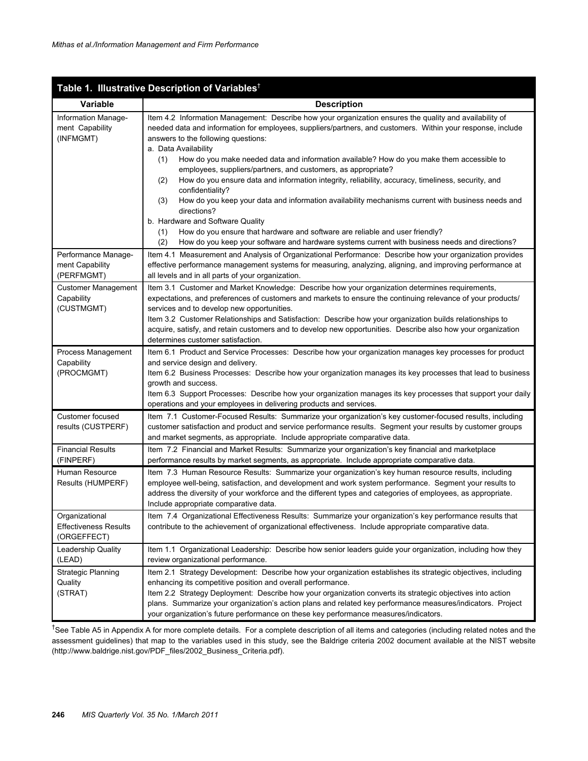|                                                               | Table 1. Illustrative Description of Variables <sup>†</sup>                                                                                                                                                                                                                                                                                                                                                                                                                                                                                                                                                                                                                                                                                                                                                                                                                                                                                                |
|---------------------------------------------------------------|------------------------------------------------------------------------------------------------------------------------------------------------------------------------------------------------------------------------------------------------------------------------------------------------------------------------------------------------------------------------------------------------------------------------------------------------------------------------------------------------------------------------------------------------------------------------------------------------------------------------------------------------------------------------------------------------------------------------------------------------------------------------------------------------------------------------------------------------------------------------------------------------------------------------------------------------------------|
| <b>Variable</b>                                               | <b>Description</b>                                                                                                                                                                                                                                                                                                                                                                                                                                                                                                                                                                                                                                                                                                                                                                                                                                                                                                                                         |
| Information Manage-<br>ment Capability<br>(INFMGMT)           | Item 4.2 Information Management: Describe how your organization ensures the quality and availability of<br>needed data and information for employees, suppliers/partners, and customers. Within your response, include<br>answers to the following questions:<br>a. Data Availability<br>How do you make needed data and information available? How do you make them accessible to<br>(1)<br>employees, suppliers/partners, and customers, as appropriate?<br>(2)<br>How do you ensure data and information integrity, reliability, accuracy, timeliness, security, and<br>confidentiality?<br>How do you keep your data and information availability mechanisms current with business needs and<br>(3)<br>directions?<br>b. Hardware and Software Quality<br>How do you ensure that hardware and software are reliable and user friendly?<br>(1)<br>(2)<br>How do you keep your software and hardware systems current with business needs and directions? |
| Performance Manage-<br>ment Capability<br>(PERFMGMT)          | Item 4.1 Measurement and Analysis of Organizational Performance: Describe how your organization provides<br>effective performance management systems for measuring, analyzing, aligning, and improving performance at<br>all levels and in all parts of your organization.                                                                                                                                                                                                                                                                                                                                                                                                                                                                                                                                                                                                                                                                                 |
| <b>Customer Management</b><br>Capability<br>(CUSTMGMT)        | Item 3.1 Customer and Market Knowledge: Describe how your organization determines requirements,<br>expectations, and preferences of customers and markets to ensure the continuing relevance of your products/<br>services and to develop new opportunities.<br>Item 3.2 Customer Relationships and Satisfaction: Describe how your organization builds relationships to<br>acquire, satisfy, and retain customers and to develop new opportunities. Describe also how your organization<br>determines customer satisfaction.                                                                                                                                                                                                                                                                                                                                                                                                                              |
| Process Management<br>Capability<br>(PROCMGMT)                | Item 6.1 Product and Service Processes: Describe how your organization manages key processes for product<br>and service design and delivery.<br>Item 6.2 Business Processes: Describe how your organization manages its key processes that lead to business<br>growth and success.<br>Item 6.3 Support Processes: Describe how your organization manages its key processes that support your daily<br>operations and your employees in delivering products and services.                                                                                                                                                                                                                                                                                                                                                                                                                                                                                   |
| Customer focused<br>results (CUSTPERF)                        | Item 7.1 Customer-Focused Results: Summarize your organization's key customer-focused results, including<br>customer satisfaction and product and service performance results. Segment your results by customer groups<br>and market segments, as appropriate. Include appropriate comparative data.                                                                                                                                                                                                                                                                                                                                                                                                                                                                                                                                                                                                                                                       |
| <b>Financial Results</b><br>(FINPERF)                         | Item 7.2 Financial and Market Results: Summarize your organization's key financial and marketplace<br>performance results by market segments, as appropriate. Include appropriate comparative data.                                                                                                                                                                                                                                                                                                                                                                                                                                                                                                                                                                                                                                                                                                                                                        |
| Human Resource<br>Results (HUMPERF)                           | Item 7.3 Human Resource Results: Summarize your organization's key human resource results, including<br>employee well-being, satisfaction, and development and work system performance. Segment your results to<br>address the diversity of your workforce and the different types and categories of employees, as appropriate.<br>Include appropriate comparative data.                                                                                                                                                                                                                                                                                                                                                                                                                                                                                                                                                                                   |
| Organizational<br><b>Effectiveness Results</b><br>(ORGEFFECT) | Item 7.4 Organizational Effectiveness Results: Summarize your organization's key performance results that<br>contribute to the achievement of organizational effectiveness. Include appropriate comparative data.                                                                                                                                                                                                                                                                                                                                                                                                                                                                                                                                                                                                                                                                                                                                          |
| Leadership Quality<br>(LEAD)                                  | Item 1.1 Organizational Leadership: Describe how senior leaders guide your organization, including how they<br>review organizational performance.                                                                                                                                                                                                                                                                                                                                                                                                                                                                                                                                                                                                                                                                                                                                                                                                          |
| <b>Strategic Planning</b><br>Quality<br>(STRAT)               | Item 2.1 Strategy Development: Describe how your organization establishes its strategic objectives, including<br>enhancing its competitive position and overall performance.<br>Item 2.2 Strategy Deployment: Describe how your organization converts its strategic objectives into action<br>plans. Summarize your organization's action plans and related key performance measures/indicators. Project<br>your organization's future performance on these key performance measures/indicators.                                                                                                                                                                                                                                                                                                                                                                                                                                                           |

<sup>†</sup>See Table A5 in Appendix A for more complete details. For a complete description of all items and categories (including related notes and the assessment guidelines) that map to the variables used in this study, see the Baldrige criteria 2002 document available at the NIST website (http://www.baldrige.nist.gov/PDF\_files/2002\_Business\_Criteria.pdf).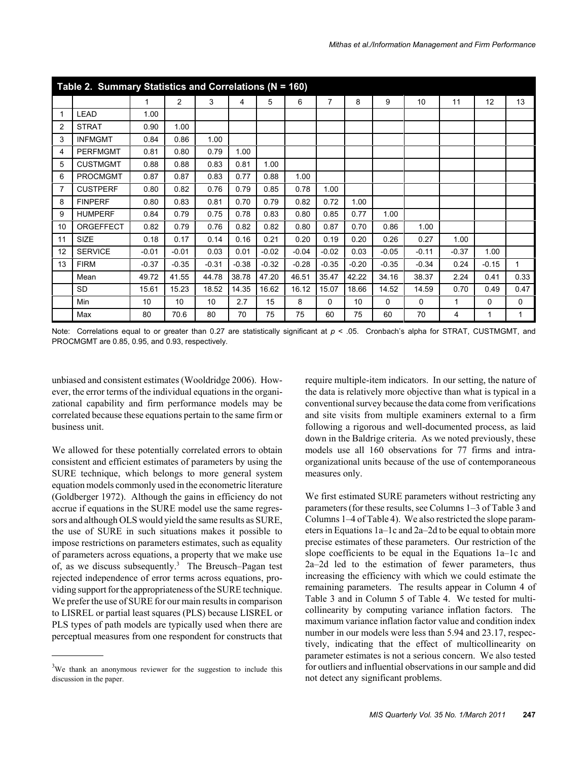|    | Table 2. Summary Statistics and Correlations (N = 160) |         |                |         |         |         |         |         |         |         |         |         |         |          |
|----|--------------------------------------------------------|---------|----------------|---------|---------|---------|---------|---------|---------|---------|---------|---------|---------|----------|
|    |                                                        | 1       | $\overline{2}$ | 3       | 4       | 5       | 6       | 7       | 8       | 9       | 10      | 11      | 12      | 13       |
|    | <b>LEAD</b>                                            | 1.00    |                |         |         |         |         |         |         |         |         |         |         |          |
| 2  | <b>STRAT</b>                                           | 0.90    | 1.00           |         |         |         |         |         |         |         |         |         |         |          |
| 3  | <b>INFMGMT</b>                                         | 0.84    | 0.86           | 1.00    |         |         |         |         |         |         |         |         |         |          |
| 4  | <b>PERFMGMT</b>                                        | 0.81    | 0.80           | 0.79    | 1.00    |         |         |         |         |         |         |         |         |          |
| 5  | <b>CUSTMGMT</b>                                        | 0.88    | 0.88           | 0.83    | 0.81    | 1.00    |         |         |         |         |         |         |         |          |
| 6  | <b>PROCMGMT</b>                                        | 0.87    | 0.87           | 0.83    | 0.77    | 0.88    | 1.00    |         |         |         |         |         |         |          |
| 7  | <b>CUSTPERF</b>                                        | 0.80    | 0.82           | 0.76    | 0.79    | 0.85    | 0.78    | 1.00    |         |         |         |         |         |          |
| 8  | <b>FINPERF</b>                                         | 0.80    | 0.83           | 0.81    | 0.70    | 0.79    | 0.82    | 0.72    | 1.00    |         |         |         |         |          |
| 9  | <b>HUMPERF</b>                                         | 0.84    | 0.79           | 0.75    | 0.78    | 0.83    | 0.80    | 0.85    | 0.77    | 1.00    |         |         |         |          |
| 10 | ORGEFFECT                                              | 0.82    | 0.79           | 0.76    | 0.82    | 0.82    | 0.80    | 0.87    | 0.70    | 0.86    | 1.00    |         |         |          |
| 11 | <b>SIZE</b>                                            | 0.18    | 0.17           | 0.14    | 0.16    | 0.21    | 0.20    | 0.19    | 0.20    | 0.26    | 0.27    | 1.00    |         |          |
| 12 | <b>SERVICE</b>                                         | $-0.01$ | $-0.01$        | 0.03    | 0.01    | $-0.02$ | $-0.04$ | $-0.02$ | 0.03    | $-0.05$ | $-0.11$ | $-0.37$ | 1.00    |          |
| 13 | <b>FIRM</b>                                            | $-0.37$ | $-0.35$        | $-0.31$ | $-0.38$ | $-0.32$ | $-0.28$ | $-0.35$ | $-0.20$ | $-0.35$ | $-0.34$ | 0.24    | $-0.15$ | 1        |
|    | Mean                                                   | 49.72   | 41.55          | 44.78   | 38.78   | 47.20   | 46.51   | 35.47   | 42.22   | 34.16   | 38.37   | 2.24    | 0.41    | 0.33     |
|    | <b>SD</b>                                              | 15.61   | 15.23          | 18.52   | 14.35   | 16.62   | 16.12   | 15.07   | 18.66   | 14.52   | 14.59   | 0.70    | 0.49    | 0.47     |
|    | Min                                                    | 10      | 10             | 10      | 2.7     | 15      | 8       | 0       | 10      | 0       | 0       | 1       | 0       | $\Omega$ |
|    | Max                                                    | 80      | 70.6           | 80      | 70      | 75      | 75      | 60      | 75      | 60      | 70      | 4       | 1       | 1        |

Note: Correlations equal to or greater than 0.27 are statistically significant at  $p < 0.05$ . Cronbach's alpha for STRAT, CUSTMGMT, and PROCMGMT are 0.85, 0.95, and 0.93, respectively.

unbiased and consistent estimates (Wooldridge 2006). However, the error terms of the individual equations in the organizational capability and firm performance models may be correlated because these equations pertain to the same firm or business unit.

We allowed for these potentially correlated errors to obtain consistent and efficient estimates of parameters by using the SURE technique, which belongs to more general system equation models commonly used in the econometric literature (Goldberger 1972). Although the gains in efficiency do not accrue if equations in the SURE model use the same regressors and although OLS would yield the same results as SURE, the use of SURE in such situations makes it possible to impose restrictions on parameters estimates, such as equality of parameters across equations, a property that we make use of, as we discuss subsequently.<sup>3</sup> The Breusch–Pagan test rejected independence of error terms across equations, providing support for the appropriateness of the SURE technique. We prefer the use of SURE for our main results in comparison to LISREL or partial least squares (PLS) because LISREL or PLS types of path models are typically used when there are perceptual measures from one respondent for constructs that

require multiple-item indicators. In our setting, the nature of the data is relatively more objective than what is typical in a conventional survey because the data come from verifications and site visits from multiple examiners external to a firm following a rigorous and well-documented process, as laid down in the Baldrige criteria. As we noted previously, these models use all 160 observations for 77 firms and intraorganizational units because of the use of contemporaneous measures only.

We first estimated SURE parameters without restricting any parameters (for these results, see Columns 1–3 of Table 3 and Columns 1–4 of Table 4). We also restricted the slope parameters in Equations 1a–1c and 2a–2d to be equal to obtain more precise estimates of these parameters. Our restriction of the slope coefficients to be equal in the Equations 1a–1c and 2a–2d led to the estimation of fewer parameters, thus increasing the efficiency with which we could estimate the remaining parameters. The results appear in Column 4 of Table 3 and in Column 5 of Table 4. We tested for multicollinearity by computing variance inflation factors. The maximum variance inflation factor value and condition index number in our models were less than 5.94 and 23.17, respectively, indicating that the effect of multicollinearity on parameter estimates is not a serious concern. We also tested for outliers and influential observations in our sample and did not detect any significant problems.

 $3$ We thank an anonymous reviewer for the suggestion to include this discussion in the paper.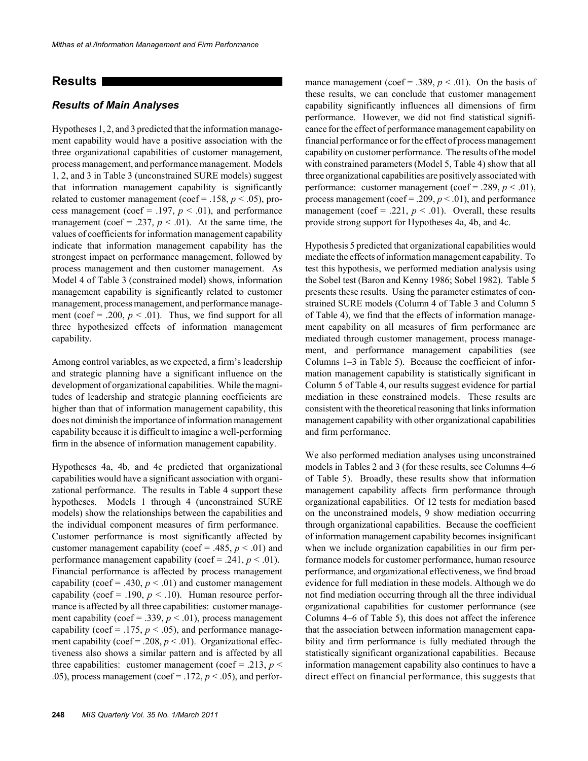#### **Results**

#### *Results of Main Analyses*

Hypotheses 1, 2, and 3 predicted that the information management capability would have a positive association with the three organizational capabilities of customer management, process management, and performance management. Models 1, 2, and 3 in Table 3 (unconstrained SURE models) suggest that information management capability is significantly related to customer management (coef = .158,  $p < .05$ ), process management (coef = .197,  $p < .01$ ), and performance management (coef = .237,  $p < .01$ ). At the same time, the values of coefficients for information management capability indicate that information management capability has the strongest impact on performance management, followed by process management and then customer management. As Model 4 of Table 3 (constrained model) shows, information management capability is significantly related to customer management, process management, and performance management (coef = .200,  $p < .01$ ). Thus, we find support for all three hypothesized effects of information management capability.

Among control variables, as we expected, a firm's leadership and strategic planning have a significant influence on the development of organizational capabilities. While the magnitudes of leadership and strategic planning coefficients are higher than that of information management capability, this does not diminish the importance of information management capability because it is difficult to imagine a well-performing firm in the absence of information management capability.

Hypotheses 4a, 4b, and 4c predicted that organizational capabilities would have a significant association with organizational performance. The results in Table 4 support these hypotheses. Models 1 through 4 (unconstrained SURE models) show the relationships between the capabilities and the individual component measures of firm performance. Customer performance is most significantly affected by customer management capability (coef = .485,  $p < .01$ ) and performance management capability (coef = .241,  $p < .01$ ). Financial performance is affected by process management capability (coef = .430,  $p < .01$ ) and customer management capability (coef = .190,  $p < .10$ ). Human resource performance is affected by all three capabilities: customer management capability (coef = .339,  $p < .01$ ), process management capability (coef = .175,  $p < .05$ ), and performance management capability (coef = .208,  $p < .01$ ). Organizational effectiveness also shows a similar pattern and is affected by all three capabilities: customer management (coef = .213,  $p$  < .05), process management (coef = .172,  $p < .05$ ), and performance management (coef = .389,  $p < .01$ ). On the basis of these results, we can conclude that customer management capability significantly influences all dimensions of firm performance. However, we did not find statistical significance for the effect of performance management capability on financial performance or for the effect of process management capability on customer performance. The results of the model with constrained parameters (Model 5, Table 4) show that all three organizational capabilities are positively associated with performance: customer management (coef = .289,  $p < .01$ ), process management (coef = .209,  $p < .01$ ), and performance management (coef = .221,  $p < .01$ ). Overall, these results provide strong support for Hypotheses 4a, 4b, and 4c.

Hypothesis 5 predicted that organizational capabilities would mediate the effects of information management capability. To test this hypothesis, we performed mediation analysis using the Sobel test (Baron and Kenny 1986; Sobel 1982). Table 5 presents these results. Using the parameter estimates of constrained SURE models (Column 4 of Table 3 and Column 5 of Table 4), we find that the effects of information management capability on all measures of firm performance are mediated through customer management, process management, and performance management capabilities (see Columns 1–3 in Table 5). Because the coefficient of information management capability is statistically significant in Column 5 of Table 4, our results suggest evidence for partial mediation in these constrained models. These results are consistent with the theoretical reasoning that links information management capability with other organizational capabilities and firm performance.

We also performed mediation analyses using unconstrained models in Tables 2 and 3 (for these results, see Columns 4–6 of Table 5). Broadly, these results show that information management capability affects firm performance through organizational capabilities. Of 12 tests for mediation based on the unconstrained models, 9 show mediation occurring through organizational capabilities. Because the coefficient of information management capability becomes insignificant when we include organization capabilities in our firm performance models for customer performance, human resource performance, and organizational effectiveness, we find broad evidence for full mediation in these models. Although we do not find mediation occurring through all the three individual organizational capabilities for customer performance (see Columns 4–6 of Table 5), this does not affect the inference that the association between information management capability and firm performance is fully mediated through the statistically significant organizational capabilities. Because information management capability also continues to have a direct effect on financial performance, this suggests that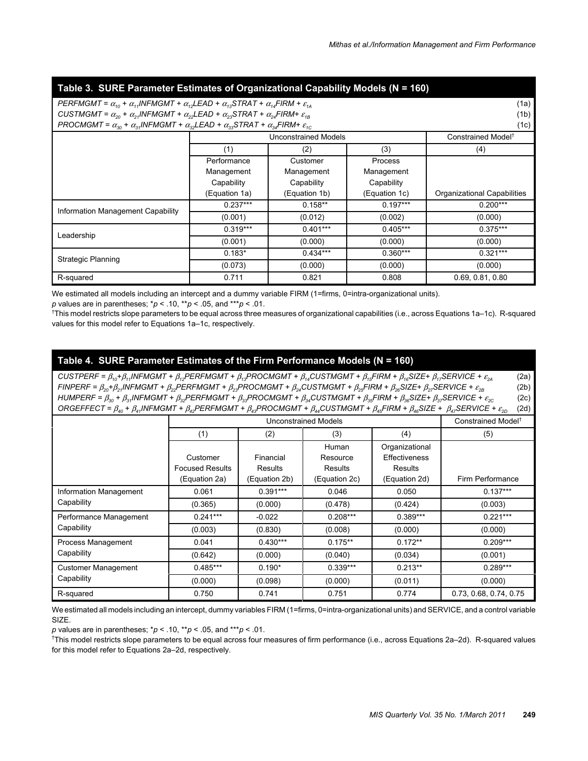#### **Table 3. SURE Parameter Estimates of Organizational Capability Models (N = 160)**

| PERFMGMT = $\alpha_{10}$ + $\alpha_{11}$ INFMGMT + $\alpha_{12}$ LEAD + $\alpha_{13}$ STRAT + $\alpha_{14}$ FIRM + $\varepsilon_{14}$<br>(1a) |               |                             |               |                                |  |  |
|-----------------------------------------------------------------------------------------------------------------------------------------------|---------------|-----------------------------|---------------|--------------------------------|--|--|
| CUSTMGMT = $\alpha_{20}$ + $\alpha_{21}$ INFMGMT + $\alpha_{22}$ LEAD + $\alpha_{23}$ STRAT + $\alpha_{24}$ FIRM+ $\varepsilon_{18}$          |               |                             |               |                                |  |  |
| PROCMGMT = $\alpha_{30}$ + $\alpha_{34}$ INFMGMT + $\alpha_{32}$ LEAD + $\alpha_{33}$ STRAT + $\alpha_{34}$ FIRM+ $\varepsilon_{40}$          |               |                             |               | (1b)<br>(1c)                   |  |  |
|                                                                                                                                               |               | <b>Unconstrained Models</b> |               | Constrained Model <sup>†</sup> |  |  |
|                                                                                                                                               | (1)           | (2)                         | (3)           | (4)                            |  |  |
|                                                                                                                                               | Performance   | Customer                    | Process       |                                |  |  |
|                                                                                                                                               | Management    | Management                  | Management    |                                |  |  |
|                                                                                                                                               | Capability    | Capability                  | Capability    |                                |  |  |
|                                                                                                                                               | (Equation 1a) | (Equation 1b)               | (Equation 1c) | Organizational Capabilities    |  |  |
| Information Management Capability                                                                                                             | $0.237***$    | $0.158**$                   | $0.197***$    | $0.200***$                     |  |  |
|                                                                                                                                               | (0.001)       | (0.012)                     | (0.002)       | (0.000)                        |  |  |
| Leadership                                                                                                                                    | $0.319***$    | $0.401***$                  | $0.405***$    | $0.375***$                     |  |  |
|                                                                                                                                               | (0.001)       | (0.000)                     | (0.000)       | (0.000)                        |  |  |
| <b>Strategic Planning</b>                                                                                                                     | $0.183*$      | $0.434***$                  | $0.360***$    | $0.321***$                     |  |  |
|                                                                                                                                               | (0.073)       | (0.000)                     | (0.000)       | (0.000)                        |  |  |
| R-squared                                                                                                                                     | 0.711         | 0.821                       | 0.808         | 0.69, 0.81, 0.80               |  |  |

We estimated all models including an intercept and a dummy variable FIRM (1=firms, 0=intra-organizational units).

*p* values are in parentheses; \**p* < .10, \*\**p* < .05, and \*\*\**p* < .01.

† This model restricts slope parameters to be equal across three measures of organizational capabilities (i.e., across Equations 1a–1c). R-squared values for this model refer to Equations 1a–1c, respectively.

#### **Table 4. SURE Parameter Estimates of the Firm Performance Models (N = 160)**

 $CUSTPERF = \beta_{10} + \beta_{11}INFMGMT + \beta_{12}PERFMGMT + \beta_{13}PROCMGMT + \beta_{14}CUSTMGMT + \beta_{15}FINF + \beta_{16}SIZE + \beta_{17}SERVICE + \epsilon_{24}$  (2a)  $FINPERF = \beta_{20} + \beta_{21}INFMGMT + \beta_{22}PERFMGMT + \beta_{23}PROCMGMT + \beta_{24}CUSTMGMT + \beta_{25}FIN + \beta_{26}SIZE + \beta_{27}SERVICE + \varepsilon_{28}$  (2b) *HUMPERF =* β*30 +* β*31INFMGMT +* β*32PERFMGMT +* β*33PROCMGMT +* β*34CUSTMGMT +* β*35FIRM +* β*36SIZE+* β*37SERVICE +* <sup>ε</sup>*2C* (2c)  $ORGEFFECT = \beta_{40} + \beta_{41}$ INFMGMT +  $\beta_{42}$ PERFMGMT +  $\beta_{43}$ PROCMGMT +  $\beta_{44}$ CUSTMGMT +  $\beta_{45}$ FIRM +  $\beta_{46}$ SIZE +  $\beta_{47}$ SERVICE +  $\varepsilon_{2D}$  (2d)

|                                      |                        |               | Unconstrained Models |                      | Constrained Model <sup>†</sup> |
|--------------------------------------|------------------------|---------------|----------------------|----------------------|--------------------------------|
|                                      | (1)                    | (2)           | (3)                  | (4)                  | (5)                            |
|                                      |                        |               | Human                | Organizational       |                                |
|                                      | Customer               | Financial     | Resource             | <b>Effectiveness</b> |                                |
|                                      | <b>Focused Results</b> | Results       | <b>Results</b>       | Results              |                                |
|                                      | (Equation 2a)          | (Equation 2b) | (Equation 2c)        | (Equation 2d)        | Firm Performance               |
| Information Management<br>Capability | 0.061                  | $0.391***$    | 0.046                | 0.050                | $0.137***$                     |
|                                      | (0.365)                | (0.000)       | (0.478)              | (0.424)              | (0.003)                        |
| Performance Management               | $0.241***$             | $-0.022$      | $0.208***$           | $0.389***$           | $0.221***$                     |
| Capability                           | (0.003)                | (0.830)       | (0.008)              | (0.000)              | (0.000)                        |
| Process Management                   | 0.041                  | $0.430***$    | $0.175**$            | $0.172**$            | $0.209***$                     |
| Capability                           | (0.642)                | (0.000)       | (0.040)              | (0.034)              | (0.001)                        |
| <b>Customer Management</b>           | $0.485***$             | $0.190*$      | $0.339***$           | $0.213**$            | $0.289***$                     |
| Capability                           | (0.000)                | (0.098)       | (0.000)              | (0.011)              | (0.000)                        |
| R-squared                            | 0.750                  | 0.741         | 0.751                | 0.774                | 0.73, 0.68, 0.74, 0.75         |

We estimated all models including an intercept, dummy variables FIRM (1=firms, 0=intra-organizational units) and SERVICE, and a control variable SIZE.

*p* values are in parentheses; \**p* < .10, \*\**p* < .05, and \*\*\**p* < .01.

† This model restricts slope parameters to be equal across four measures of firm performance (i.e., across Equations 2a–2d). R-squared values for this model refer to Equations 2a–2d, respectively.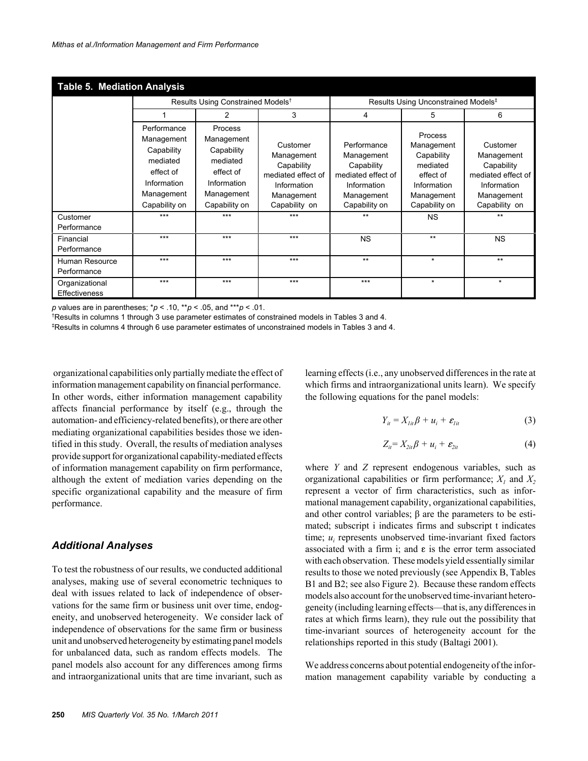| <b>Table 5. Mediation Analysis</b> |                                                                                                                |                                                                                                            |                                                                                                          |                                                                                                             |                                                                                                            |                                                                                                          |  |
|------------------------------------|----------------------------------------------------------------------------------------------------------------|------------------------------------------------------------------------------------------------------------|----------------------------------------------------------------------------------------------------------|-------------------------------------------------------------------------------------------------------------|------------------------------------------------------------------------------------------------------------|----------------------------------------------------------------------------------------------------------|--|
|                                    |                                                                                                                | Results Using Constrained Models <sup>†</sup>                                                              |                                                                                                          | Results Using Unconstrained Models <sup>‡</sup>                                                             |                                                                                                            |                                                                                                          |  |
|                                    |                                                                                                                | 2                                                                                                          | 3                                                                                                        | 4                                                                                                           | 5                                                                                                          | 6                                                                                                        |  |
|                                    | Performance<br>Management<br>Capability<br>mediated<br>effect of<br>Information<br>Management<br>Capability on | Process<br>Management<br>Capability<br>mediated<br>effect of<br>Information<br>Management<br>Capability on | Customer<br>Management<br>Capability<br>mediated effect of<br>Information<br>Management<br>Capability on | Performance<br>Management<br>Capability<br>mediated effect of<br>Information<br>Management<br>Capability on | Process<br>Management<br>Capability<br>mediated<br>effect of<br>Information<br>Management<br>Capability on | Customer<br>Management<br>Capability<br>mediated effect of<br>Information<br>Management<br>Capability on |  |
| Customer<br>Performance            | $***$                                                                                                          | $***$                                                                                                      | $***$                                                                                                    | $***$                                                                                                       | <b>NS</b>                                                                                                  | $***$                                                                                                    |  |
| Financial<br>Performance           | $***$                                                                                                          | $***$                                                                                                      | $***$                                                                                                    | <b>NS</b>                                                                                                   | $***$                                                                                                      | <b>NS</b>                                                                                                |  |
| Human Resource<br>Performance      | $***$                                                                                                          | $***$                                                                                                      | $***$                                                                                                    | $***$                                                                                                       | $\star$                                                                                                    | $***$                                                                                                    |  |
| Organizational<br>Effectiveness    | $***$                                                                                                          | $***$                                                                                                      | $***$                                                                                                    | $***$                                                                                                       | $\star$                                                                                                    | $\star$                                                                                                  |  |

*p* values are in parentheses; \**p* < .10, \*\**p* < .05, and \*\*\**p* < .01.

† Results in columns 1 through 3 use parameter estimates of constrained models in Tables 3 and 4. ‡

<sup>‡</sup>Results in columns 4 through 6 use parameter estimates of unconstrained models in Tables 3 and 4.

 organizational capabilities only partially mediate the effect of information management capability on financial performance. In other words, either information management capability affects financial performance by itself (e.g., through the automation- and efficiency-related benefits), or there are other mediating organizational capabilities besides those we identified in this study. Overall, the results of mediation analyses provide support for organizational capability-mediated effects of information management capability on firm performance, although the extent of mediation varies depending on the specific organizational capability and the measure of firm performance.

#### *Additional Analyses*

To test the robustness of our results, we conducted additional analyses, making use of several econometric techniques to deal with issues related to lack of independence of observations for the same firm or business unit over time, endogeneity, and unobserved heterogeneity. We consider lack of independence of observations for the same firm or business unit and unobserved heterogeneity by estimating panel models for unbalanced data, such as random effects models. The panel models also account for any differences among firms and intraorganizational units that are time invariant, such as learning effects (i.e., any unobserved differences in the rate at which firms and intraorganizational units learn). We specify the following equations for the panel models:

$$
Y_{it} = X_{lit}\beta + u_i + \varepsilon_{lit} \tag{3}
$$

$$
Z_{it} = X_{2it}\beta + u_i + \varepsilon_{2it} \tag{4}
$$

where *Y* and *Z* represent endogenous variables, such as organizational capabilities or firm performance;  $X_i$  and  $X_2$ represent a vector of firm characteristics, such as informational management capability, organizational capabilities, and other control variables; β are the parameters to be estimated; subscript i indicates firms and subscript t indicates time; *u<sub>i</sub>* represents unobserved time-invariant fixed factors associated with a firm i; and  $\varepsilon$  is the error term associated with each observation. These models yield essentially similar results to those we noted previously (see Appendix B, Tables B1 and B2; see also Figure 2). Because these random effects models also account for the unobserved time-invariant heterogeneity (including learning effects—that is, any differences in rates at which firms learn), they rule out the possibility that time-invariant sources of heterogeneity account for the relationships reported in this study (Baltagi 2001).

We address concerns about potential endogeneity of the information management capability variable by conducting a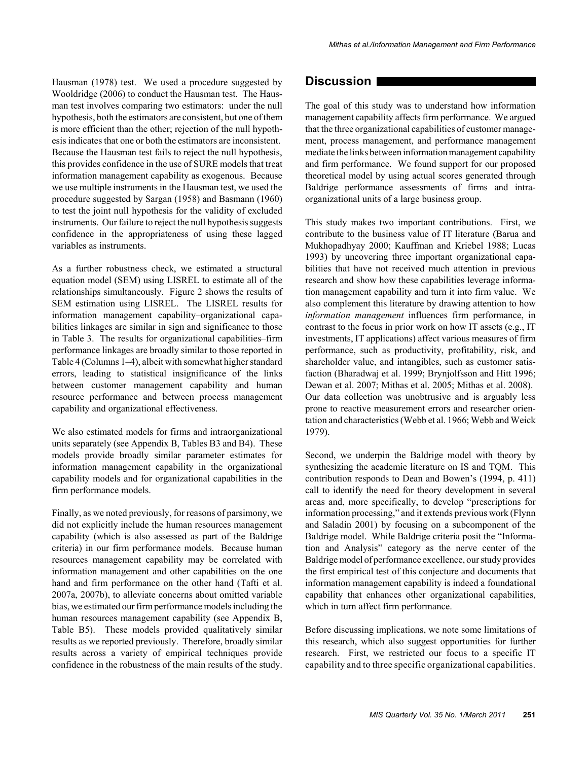Hausman (1978) test. We used a procedure suggested by Wooldridge (2006) to conduct the Hausman test. The Hausman test involves comparing two estimators: under the null hypothesis, both the estimators are consistent, but one of them is more efficient than the other; rejection of the null hypothesis indicates that one or both the estimators are inconsistent. Because the Hausman test fails to reject the null hypothesis, this provides confidence in the use of SURE models that treat information management capability as exogenous. Because we use multiple instruments in the Hausman test, we used the procedure suggested by Sargan (1958) and Basmann (1960) to test the joint null hypothesis for the validity of excluded instruments. Our failure to reject the null hypothesis suggests confidence in the appropriateness of using these lagged variables as instruments.

As a further robustness check, we estimated a structural equation model (SEM) using LISREL to estimate all of the relationships simultaneously. Figure 2 shows the results of SEM estimation using LISREL. The LISREL results for information management capability–organizational capabilities linkages are similar in sign and significance to those in Table 3. The results for organizational capabilities–firm performance linkages are broadly similar to those reported in Table 4 (Columns 1–4), albeit with somewhat higher standard errors, leading to statistical insignificance of the links between customer management capability and human resource performance and between process management capability and organizational effectiveness.

We also estimated models for firms and intraorganizational units separately (see Appendix B, Tables B3 and B4). These models provide broadly similar parameter estimates for information management capability in the organizational capability models and for organizational capabilities in the firm performance models.

Finally, as we noted previously, for reasons of parsimony, we did not explicitly include the human resources management capability (which is also assessed as part of the Baldrige criteria) in our firm performance models. Because human resources management capability may be correlated with information management and other capabilities on the one hand and firm performance on the other hand (Tafti et al. 2007a, 2007b), to alleviate concerns about omitted variable bias, we estimated our firm performance models including the human resources management capability (see Appendix B, Table B5). These models provided qualitatively similar results as we reported previously. Therefore, broadly similar results across a variety of empirical techniques provide confidence in the robustness of the main results of the study.

## **Discussion**

The goal of this study was to understand how information management capability affects firm performance. We argued that the three organizational capabilities of customer management, process management, and performance management mediate the links between information management capability and firm performance. We found support for our proposed theoretical model by using actual scores generated through Baldrige performance assessments of firms and intraorganizational units of a large business group.

This study makes two important contributions. First, we contribute to the business value of IT literature (Barua and Mukhopadhyay 2000; Kauffman and Kriebel 1988; Lucas 1993) by uncovering three important organizational capabilities that have not received much attention in previous research and show how these capabilities leverage information management capability and turn it into firm value. We also complement this literature by drawing attention to how *information management* influences firm performance, in contrast to the focus in prior work on how IT assets (e.g., IT investments, IT applications) affect various measures of firm performance, such as productivity, profitability, risk, and shareholder value, and intangibles, such as customer satisfaction (Bharadwaj et al. 1999; Brynjolfsson and Hitt 1996; Dewan et al. 2007; Mithas et al. 2005; Mithas et al. 2008). Our data collection was unobtrusive and is arguably less prone to reactive measurement errors and researcher orientation and characteristics (Webb et al. 1966; Webb and Weick 1979).

Second, we underpin the Baldrige model with theory by synthesizing the academic literature on IS and TQM. This contribution responds to Dean and Bowen's (1994, p. 411) call to identify the need for theory development in several areas and, more specifically, to develop "prescriptions for information processing," and it extends previous work (Flynn and Saladin 2001) by focusing on a subcomponent of the Baldrige model. While Baldrige criteria posit the "Information and Analysis" category as the nerve center of the Baldrige model of performance excellence, our study provides the first empirical test of this conjecture and documents that information management capability is indeed a foundational capability that enhances other organizational capabilities, which in turn affect firm performance.

Before discussing implications, we note some limitations of this research, which also suggest opportunities for further research. First, we restricted our focus to a specific IT capability and to three specific organizational capabilities.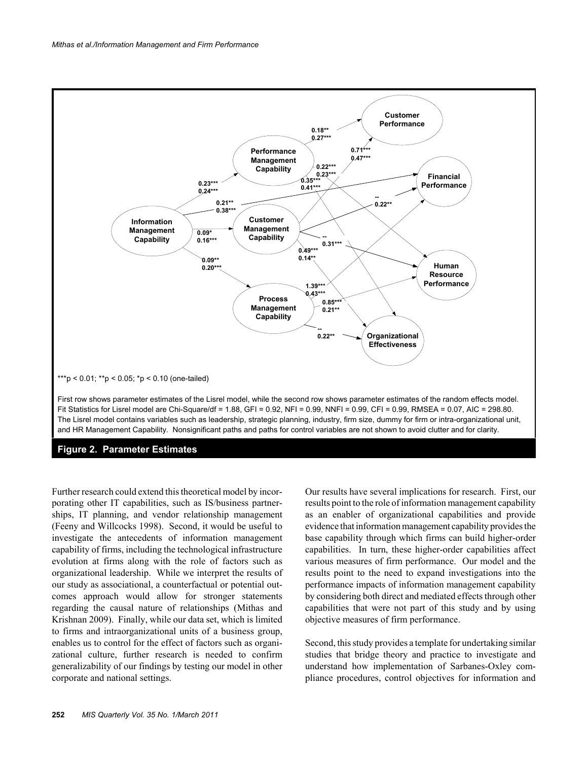

#### **Figure 2. Parameter Estimates**

Further research could extend this theoretical model by incorporating other IT capabilities, such as IS/business partnerships, IT planning, and vendor relationship management (Feeny and Willcocks 1998). Second, it would be useful to investigate the antecedents of information management capability of firms, including the technological infrastructure evolution at firms along with the role of factors such as organizational leadership. While we interpret the results of our study as associational, a counterfactual or potential outcomes approach would allow for stronger statements regarding the causal nature of relationships (Mithas and Krishnan 2009). Finally, while our data set, which is limited to firms and intraorganizational units of a business group, enables us to control for the effect of factors such as organizational culture, further research is needed to confirm generalizability of our findings by testing our model in other corporate and national settings.

Our results have several implications for research. First, our results point to the role of information management capability as an enabler of organizational capabilities and provide evidence that information management capability provides the base capability through which firms can build higher-order capabilities. In turn, these higher-order capabilities affect various measures of firm performance. Our model and the results point to the need to expand investigations into the performance impacts of information management capability by considering both direct and mediated effects through other capabilities that were not part of this study and by using objective measures of firm performance.

Second, this study provides a template for undertaking similar studies that bridge theory and practice to investigate and understand how implementation of Sarbanes-Oxley compliance procedures, control objectives for information and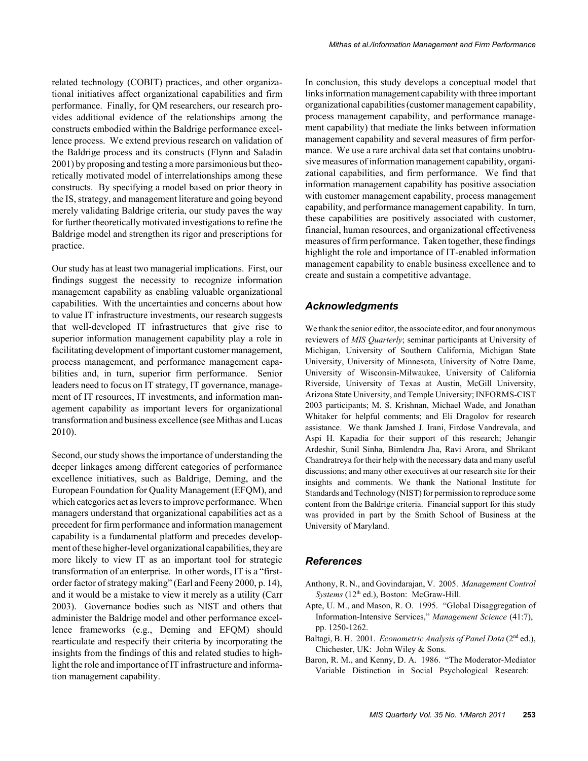related technology (COBIT) practices, and other organizational initiatives affect organizational capabilities and firm performance. Finally, for QM researchers, our research provides additional evidence of the relationships among the constructs embodied within the Baldrige performance excellence process. We extend previous research on validation of the Baldrige process and its constructs (Flynn and Saladin 2001) by proposing and testing a more parsimonious but theoretically motivated model of interrelationships among these constructs. By specifying a model based on prior theory in the IS, strategy, and management literature and going beyond merely validating Baldrige criteria, our study paves the way for further theoretically motivated investigations to refine the Baldrige model and strengthen its rigor and prescriptions for practice.

Our study has at least two managerial implications. First, our findings suggest the necessity to recognize information management capability as enabling valuable organizational capabilities. With the uncertainties and concerns about how to value IT infrastructure investments, our research suggests that well-developed IT infrastructures that give rise to superior information management capability play a role in facilitating development of important customer management, process management, and performance management capabilities and, in turn, superior firm performance. Senior leaders need to focus on IT strategy, IT governance, management of IT resources, IT investments, and information management capability as important levers for organizational transformation and business excellence (see Mithas and Lucas 2010).

Second, our study shows the importance of understanding the deeper linkages among different categories of performance excellence initiatives, such as Baldrige, Deming, and the European Foundation for Quality Management (EFQM), and which categories act as levers to improve performance. When managers understand that organizational capabilities act as a precedent for firm performance and information management capability is a fundamental platform and precedes development of these higher-level organizational capabilities, they are more likely to view IT as an important tool for strategic transformation of an enterprise. In other words, IT is a "firstorder factor of strategy making" (Earl and Feeny 2000, p. 14), and it would be a mistake to view it merely as a utility (Carr 2003). Governance bodies such as NIST and others that administer the Baldrige model and other performance excellence frameworks (e.g., Deming and EFQM) should rearticulate and respecify their criteria by incorporating the insights from the findings of this and related studies to highlight the role and importance of IT infrastructure and information management capability.

In conclusion, this study develops a conceptual model that links information management capability with three important organizational capabilities (customer management capability, process management capability, and performance management capability) that mediate the links between information management capability and several measures of firm performance. We use a rare archival data set that contains unobtrusive measures of information management capability, organizational capabilities, and firm performance. We find that information management capability has positive association with customer management capability, process management capability, and performance management capability. In turn, these capabilities are positively associated with customer, financial, human resources, and organizational effectiveness measures of firm performance. Taken together, these findings highlight the role and importance of IT-enabled information management capability to enable business excellence and to create and sustain a competitive advantage.

#### *Acknowledgments*

We thank the senior editor, the associate editor, and four anonymous reviewers of *MIS Quarterly*; seminar participants at University of Michigan, University of Southern California, Michigan State University, University of Minnesota, University of Notre Dame, University of Wisconsin-Milwaukee, University of California Riverside, University of Texas at Austin, McGill University, Arizona State University, and Temple University; INFORMS-CIST 2003 participants; M. S. Krishnan, Michael Wade, and Jonathan Whitaker for helpful comments; and Eli Dragolov for research assistance. We thank Jamshed J. Irani, Firdose Vandrevala, and Aspi H. Kapadia for their support of this research; Jehangir Ardeshir, Sunil Sinha, Bimlendra Jha, Ravi Arora, and Shrikant Chandratreya for their help with the necessary data and many useful discussions; and many other executives at our research site for their insights and comments. We thank the National Institute for Standards and Technology (NIST) for permission to reproduce some content from the Baldrige criteria. Financial support for this study was provided in part by the Smith School of Business at the University of Maryland.

#### *References*

- Anthony, R. N., and Govindarajan, V. 2005. *Management Control Systems* (12<sup>th</sup> ed.), Boston: McGraw-Hill.
- Apte, U. M., and Mason, R. O. 1995. "Global Disaggregation of Information-Intensive Services," *Management Science* (41:7), pp. 1250-1262.
- Baltagi, B. H. 2001. *Econometric Analysis of Panel Data* (2<sup>nd</sup> ed.), Chichester, UK: John Wiley & Sons.
- Baron, R. M., and Kenny, D. A. 1986. "The Moderator-Mediator Variable Distinction in Social Psychological Research: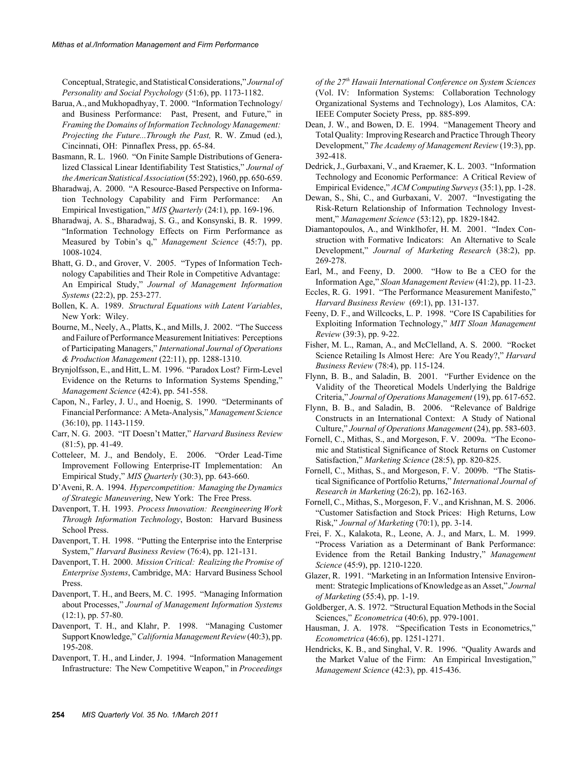Conceptual, Strategic, and Statistical Considerations," *Journal of Personality and Social Psychology* (51:6), pp. 1173-1182.

- Barua, A., and Mukhopadhyay, T. 2000. "Information Technology/ and Business Performance: Past, Present, and Future," in *Framing the Domains of Information Technology Management: Projecting the Future...Through the Past,* R. W. Zmud (ed.), Cincinnati, OH: Pinnaflex Press, pp. 65-84.
- Basmann, R. L. 1960. "On Finite Sample Distributions of Generalized Classical Linear Identifiability Test Statistics," *Journal of the American Statistical Association* (55:292), 1960, pp. 650-659.
- Bharadwaj, A. 2000. "A Resource-Based Perspective on Information Technology Capability and Firm Performance: An Empirical Investigation," *MIS Quarterly* (24:1), pp. 169-196.
- Bharadwaj, A. S., Bharadwaj, S. G., and Konsynski, B. R. 1999. "Information Technology Effects on Firm Performance as Measured by Tobin's q," *Management Science* (45:7), pp. 1008-1024.
- Bhatt, G. D., and Grover, V. 2005. "Types of Information Technology Capabilities and Their Role in Competitive Advantage: An Empirical Study," *Journal of Management Information Systems* (22:2), pp. 253-277.
- Bollen, K. A. 1989. *Structural Equations with Latent Variables*, New York: Wiley.
- Bourne, M., Neely, A., Platts, K., and Mills, J. 2002. "The Success and Failure of Performance Measurement Initiatives: Perceptions of Participating Managers," *International Journal of Operations & Production Management* (22:11), pp. 1288-1310.
- Brynjolfsson, E., and Hitt, L. M. 1996. "Paradox Lost? Firm-Level Evidence on the Returns to Information Systems Spending," *Management Science* (42:4), pp. 541-558.
- Capon, N., Farley, J. U., and Hoenig, S. 1990. "Determinants of Financial Performance: A Meta-Analysis," *Management Science* (36:10), pp. 1143-1159.
- Carr, N. G. 2003. "IT Doesn't Matter," *Harvard Business Review* (81:5), pp. 41-49.
- Cotteleer, M. J., and Bendoly, E. 2006. "Order Lead-Time Improvement Following Enterprise-IT Implementation: An Empirical Study," *MIS Quarterly* (30:3), pp. 643-660.
- D'Aveni, R. A. 1994. *Hypercompetition: Managing the Dynamics of Strategic Maneuvering*, New York: The Free Press.
- Davenport, T. H. 1993. *Process Innovation: Reengineering Work Through Information Technology*, Boston: Harvard Business School Press.
- Davenport, T. H. 1998. "Putting the Enterprise into the Enterprise System," *Harvard Business Review* (76:4), pp. 121-131.
- Davenport, T. H. 2000. *Mission Critical: Realizing the Promise of Enterprise Systems*, Cambridge, MA: Harvard Business School Press.
- Davenport, T. H., and Beers, M. C. 1995. "Managing Information about Processes," *Journal of Management Information Systems* (12:1), pp. 57-80.
- Davenport, T. H., and Klahr, P. 1998. "Managing Customer Support Knowledge," *California Management Review* (40:3), pp. 195-208.
- Davenport, T. H., and Linder, J. 1994. "Information Management Infrastructure: The New Competitive Weapon," in *Proceedings*

*of the 27th Hawaii International Conference on System Sciences* (Vol. IV: Information Systems: Collaboration Technology Organizational Systems and Technology), Los Alamitos, CA: IEEE Computer Society Press, pp. 885-899.

- Dean, J. W., and Bowen, D. E. 1994. "Management Theory and Total Quality: Improving Research and Practice Through Theory Development," *The Academy of Management Review* (19:3), pp. 392-418.
- Dedrick, J., Gurbaxani, V., and Kraemer, K. L. 2003. "Information Technology and Economic Performance: A Critical Review of Empirical Evidence," *ACM Computing Surveys* (35:1), pp. 1-28.
- Dewan, S., Shi, C., and Gurbaxani, V. 2007. "Investigating the Risk-Return Relationship of Information Technology Investment," *Management Science* (53:12), pp. 1829-1842.
- Diamantopoulos, A., and Winklhofer, H. M. 2001. "Index Construction with Formative Indicators: An Alternative to Scale Development," *Journal of Marketing Research* (38:2), pp. 269-278.
- Earl, M., and Feeny, D. 2000. "How to Be a CEO for the Information Age," *Sloan Management Review* (41:2), pp. 11-23.
- Eccles, R. G. 1991. "The Performance Measurement Manifesto," *Harvard Business Review* (69:1), pp. 131-137.
- Feeny, D. F., and Willcocks, L. P. 1998. "Core IS Capabilities for Exploiting Information Technology," *MIT Sloan Management Review* (39:3), pp. 9-22.
- Fisher, M. L., Raman, A., and McClelland, A. S. 2000. "Rocket Science Retailing Is Almost Here: Are You Ready?," *Harvard Business Review* (78:4), pp. 115-124.
- Flynn, B. B., and Saladin, B. 2001. "Further Evidence on the Validity of the Theoretical Models Underlying the Baldrige Criteria," *Journal of Operations Management* (19), pp. 617-652.
- Flynn, B. B., and Saladin, B. 2006. "Relevance of Baldrige Constructs in an International Context: A Study of National Culture," *Journal of Operations Management* (24), pp. 583-603.
- Fornell, C., Mithas, S., and Morgeson, F. V. 2009a. "The Economic and Statistical Significance of Stock Returns on Customer Satisfaction," *Marketing Science* (28:5), pp. 820-825.
- Fornell, C., Mithas, S., and Morgeson, F. V. 2009b. "The Statistical Significance of Portfolio Returns," *International Journal of Research in Marketing* (26:2), pp. 162-163.
- Fornell, C., Mithas, S., Morgeson, F. V., and Krishnan, M. S. 2006. "Customer Satisfaction and Stock Prices: High Returns, Low Risk," *Journal of Marketing* (70:1), pp. 3-14.
- Frei, F. X., Kalakota, R., Leone, A. J., and Marx, L. M. 1999. "Process Variation as a Determinant of Bank Performance: Evidence from the Retail Banking Industry," *Management Science* (45:9), pp. 1210-1220.
- Glazer, R. 1991. "Marketing in an Information Intensive Environment: Strategic Implications of Knowledge as an Asset," *Journal of Marketing* (55:4), pp. 1-19.
- Goldberger, A. S. 1972. "Structural Equation Methods in the Social Sciences," *Econometrica* (40:6), pp. 979-1001.
- Hausman, J. A. 1978. "Specification Tests in Econometrics," *Econometrica* (46:6), pp. 1251-1271.
- Hendricks, K. B., and Singhal, V. R. 1996. "Quality Awards and the Market Value of the Firm: An Empirical Investigation," *Management Science* (42:3), pp. 415-436.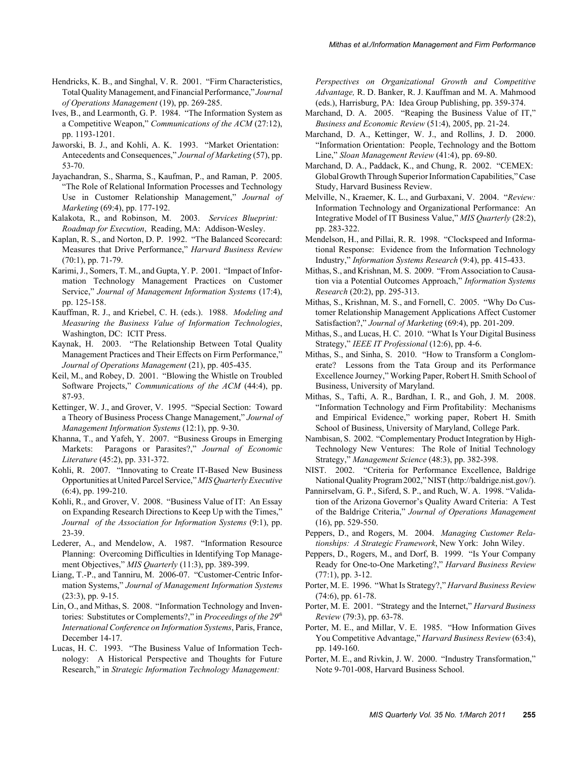- Hendricks, K. B., and Singhal, V. R. 2001. "Firm Characteristics, Total Quality Management, and Financial Performance," *Journal of Operations Management* (19), pp. 269-285.
- Ives, B., and Learmonth, G. P. 1984. "The Information System as a Competitive Weapon," *Communications of the ACM* (27:12), pp. 1193-1201.
- Jaworski, B. J., and Kohli, A. K. 1993. "Market Orientation: Antecedents and Consequences," *Journal of Marketing* (57), pp. 53-70.
- Jayachandran, S., Sharma, S., Kaufman, P., and Raman, P. 2005. "The Role of Relational Information Processes and Technology Use in Customer Relationship Management," *Journal of Marketing* (69:4), pp. 177-192.
- Kalakota, R., and Robinson, M. 2003. *Services Blueprint: Roadmap for Execution*, Reading, MA: Addison-Wesley.
- Kaplan, R. S., and Norton, D. P. 1992. "The Balanced Scorecard: Measures that Drive Performance," *Harvard Business Review* (70:1), pp. 71-79.
- Karimi, J., Somers, T. M., and Gupta, Y. P. 2001. "Impact of Information Technology Management Practices on Customer Service," *Journal of Management Information Systems* (17:4), pp. 125-158.
- Kauffman, R. J., and Kriebel, C. H. (eds.). 1988. *Modeling and Measuring the Business Value of Information Technologies*, Washington, DC: ICIT Press.
- Kaynak, H. 2003. "The Relationship Between Total Quality Management Practices and Their Effects on Firm Performance," *Journal of Operations Management* (21), pp. 405-435.
- Keil, M., and Robey, D. 2001. "Blowing the Whistle on Troubled Software Projects," *Communications of the ACM* (44:4), pp. 87-93.
- Kettinger, W. J., and Grover, V. 1995. "Special Section: Toward a Theory of Business Process Change Management," *Journal of Management Information Systems* (12:1), pp. 9-30.
- Khanna, T., and Yafeh, Y. 2007. "Business Groups in Emerging Markets: Paragons or Parasites?," *Journal of Economic Literature* (45:2), pp. 331-372.
- Kohli, R. 2007. "Innovating to Create IT-Based New Business Opportunities at United Parcel Service," *MIS Quarterly Executive* (6:4), pp. 199-210.
- Kohli, R., and Grover, V. 2008. "Business Value of IT: An Essay on Expanding Research Directions to Keep Up with the Times," *Journal of the Association for Information Systems* (9:1), pp. 23-39.
- Lederer, A., and Mendelow, A. 1987. "Information Resource Planning: Overcoming Difficulties in Identifying Top Management Objectives," *MIS Quarterly* (11:3), pp. 389-399.
- Liang, T.-P., and Tanniru, M. 2006-07. "Customer-Centric Information Systems," *Journal of Management Information Systems* (23:3), pp. 9-15.
- Lin, O., and Mithas, S. 2008. "Information Technology and Inventories: Substitutes or Complements?," in *Proceedings of the 29th International Conference on Information Systems*, Paris, France, December 14-17.
- Lucas, H. C. 1993. "The Business Value of Information Technology: A Historical Perspective and Thoughts for Future Research," in *Strategic Information Technology Management:*

*Perspectives on Organizational Growth and Competitive Advantage,* R. D. Banker, R. J. Kauffman and M. A. Mahmood (eds.), Harrisburg, PA: Idea Group Publishing, pp. 359-374.

- Marchand, D. A. 2005. "Reaping the Business Value of IT," *Business and Economic Review* (51:4), 2005, pp. 21-24.
- Marchand, D. A., Kettinger, W. J., and Rollins, J. D. 2000. "Information Orientation: People, Technology and the Bottom Line," *Sloan Management Review* (41:4), pp. 69-80.
- Marchand, D. A., Paddack, K., and Chung, R. 2002. "CEMEX: Global Growth Through Superior Information Capabilities," Case Study, Harvard Business Review.
- Melville, N., Kraemer, K. L., and Gurbaxani, V. 2004. "*Review:* Information Technology and Organizational Performance: An Integrative Model of IT Business Value," *MIS Quarterly* (28:2), pp. 283-322.
- Mendelson, H., and Pillai, R. R. 1998. "Clockspeed and Informational Response: Evidence from the Information Technology Industry," *Information Systems Research* (9:4), pp. 415-433.
- Mithas, S., and Krishnan, M. S. 2009. "From Association to Causation via a Potential Outcomes Approach," *Information Systems Research* (20:2), pp. 295-313.
- Mithas, S., Krishnan, M. S., and Fornell, C. 2005. "Why Do Customer Relationship Management Applications Affect Customer Satisfaction?," *Journal of Marketing* (69:4), pp. 201-209.
- Mithas, S., and Lucas, H. C. 2010. "What Is Your Digital Business Strategy," *IEEE IT Professional* (12:6), pp. 4-6.
- Mithas, S., and Sinha, S. 2010. "How to Transform a Conglomerate? Lessons from the Tata Group and its Performance Excellence Journey," Working Paper, Robert H. Smith School of Business, University of Maryland.
- Mithas, S., Tafti, A. R., Bardhan, I. R., and Goh, J. M. 2008. "Information Technology and Firm Profitability: Mechanisms and Empirical Evidence," working paper, Robert H. Smith School of Business, University of Maryland, College Park.
- Nambisan, S. 2002. "Complementary Product Integration by High-Technology New Ventures: The Role of Initial Technology Strategy," *Management Science* (48:3), pp. 382-398.
- NIST. 2002. "Criteria for Performance Excellence, Baldrige National Quality Program 2002," NIST (http://baldrige.nist.gov/).
- Pannirselvam, G. P., Siferd, S. P., and Ruch, W. A. 1998. "Validation of the Arizona Governor's Quality Award Criteria: A Test of the Baldrige Criteria," *Journal of Operations Management* (16), pp. 529-550.
- Peppers, D., and Rogers, M. 2004. *Managing Customer Relationships: A Strategic Framework*, New York: John Wiley.
- Peppers, D., Rogers, M., and Dorf, B. 1999. "Is Your Company Ready for One-to-One Marketing?," *Harvard Business Review* (77:1), pp. 3-12.
- Porter, M. E. 1996. "What Is Strategy?," *Harvard Business Review* (74:6), pp. 61-78.
- Porter, M. E. 2001. "Strategy and the Internet," *Harvard Business Review* (79:3), pp. 63-78.
- Porter, M. E., and Millar, V. E. 1985. "How Information Gives You Competitive Advantage," *Harvard Business Review* (63:4), pp. 149-160.
- Porter, M. E., and Rivkin, J. W. 2000. "Industry Transformation," Note 9-701-008, Harvard Business School.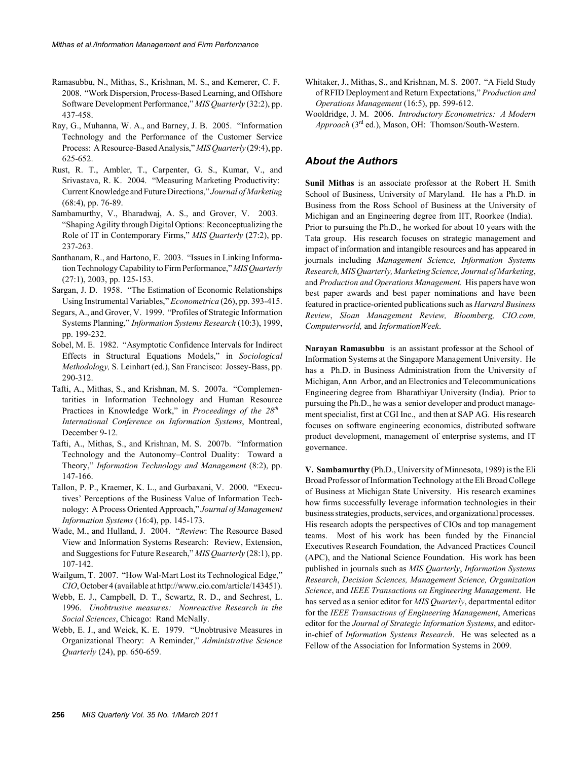- Ramasubbu, N., Mithas, S., Krishnan, M. S., and Kemerer, C. F. 2008. "Work Dispersion, Process-Based Learning, and Offshore Software Development Performance," *MIS Quarterly* (32:2), pp. 437-458.
- Ray, G., Muhanna, W. A., and Barney, J. B. 2005. "Information Technology and the Performance of the Customer Service Process: A Resource-Based Analysis," *MIS Quarterly* (29:4), pp. 625-652.
- Rust, R. T., Ambler, T., Carpenter, G. S., Kumar, V., and Srivastava, R. K. 2004. "Measuring Marketing Productivity: Current Knowledge and Future Directions," *Journal of Marketing* (68:4), pp. 76-89.
- Sambamurthy, V., Bharadwaj, A. S., and Grover, V. 2003. "Shaping Agility through Digital Options: Reconceptualizing the Role of IT in Contemporary Firms," *MIS Quarterly* (27:2), pp. 237-263.
- Santhanam, R., and Hartono, E. 2003. "Issues in Linking Information Technology Capability to Firm Performance," *MIS Quarterly* (27:1), 2003, pp. 125-153.
- Sargan, J. D. 1958. "The Estimation of Economic Relationships Using Instrumental Variables," *Econometrica* (26), pp. 393-415.
- Segars, A., and Grover, V. 1999. "Profiles of Strategic Information Systems Planning," *Information Systems Research* (10:3), 1999, pp. 199-232.
- Sobel, M. E. 1982. "Asymptotic Confidence Intervals for Indirect Effects in Structural Equations Models," in *Sociological Methodology,* S. Leinhart (ed.), San Francisco: Jossey-Bass, pp. 290-312.
- Tafti, A., Mithas, S., and Krishnan, M. S. 2007a. "Complementarities in Information Technology and Human Resource Practices in Knowledge Work," in *Proceedings of the 28th International Conference on Information Systems*, Montreal, December 9-12.
- Tafti, A., Mithas, S., and Krishnan, M. S. 2007b. "Information Technology and the Autonomy–Control Duality: Toward a Theory," *Information Technology and Management* (8:2), pp. 147-166.
- Tallon, P. P., Kraemer, K. L., and Gurbaxani, V. 2000. "Executives' Perceptions of the Business Value of Information Technology: A Process Oriented Approach," *Journal of Management Information Systems* (16:4), pp. 145-173.
- Wade, M., and Hulland, J. 2004. "*Review*: The Resource Based View and Information Systems Research: Review, Extension, and Suggestions for Future Research," *MIS Quarterly* (28:1), pp. 107-142.
- Wailgum, T. 2007. "How Wal-Mart Lost its Technological Edge," *CIO*, October 4 (available at http://www.cio.com/article/143451).
- Webb, E. J., Campbell, D. T., Scwartz, R. D., and Sechrest, L. 1996. *Unobtrusive measures: Nonreactive Research in the Social Sciences*, Chicago: Rand McNally.
- Webb, E. J., and Weick, K. E. 1979. "Unobtrusive Measures in Organizational Theory: A Reminder," *Administrative Science Quarterly* (24), pp. 650-659.
- Whitaker, J., Mithas, S., and Krishnan, M. S. 2007. "A Field Study of RFID Deployment and Return Expectations," *Production and Operations Management* (16:5), pp. 599-612.
- Wooldridge, J. M. 2006. *Introductory Econometrics: A Modern Approach* (3rd ed.), Mason, OH: Thomson/South-Western.

#### *About the Authors*

**Sunil Mithas** is an associate professor at the Robert H. Smith School of Business, University of Maryland. He has a Ph.D. in Business from the Ross School of Business at the University of Michigan and an Engineering degree from IIT, Roorkee (India). Prior to pursuing the Ph.D., he worked for about 10 years with the Tata group. His research focuses on strategic management and impact of information and intangible resources and has appeared in journals including *Management Science, Information Systems Research, MIS Quarterly, Marketing Science, Journal of Marketing*, and *Production and Operations Management.* His papers have won best paper awards and best paper nominations and have been featured in practice-oriented publications such as *Harvard Business Review*, *Sloan Management Review, Bloomberg, CIO.com, Computerworld,* and *InformationWeek*.

**Narayan Ramasubbu** is an assistant professor at the School of Information Systems at the Singapore Management University. He has a Ph.D. in Business Administration from the University of Michigan, Ann Arbor, and an Electronics and Telecommunications Engineering degree from Bharathiyar University (India). Prior to pursuing the Ph.D., he was a senior developer and product management specialist, first at CGI Inc., and then at SAP AG. His research focuses on software engineering economics, distributed software product development, management of enterprise systems, and IT governance.

**V. Sambamurthy** (Ph.D., University of Minnesota, 1989) is the Eli Broad Professor of Information Technology at the Eli Broad College of Business at Michigan State University. His research examines how firms successfully leverage information technologies in their business strategies, products, services, and organizational processes. His research adopts the perspectives of CIOs and top management teams. Most of his work has been funded by the Financial Executives Research Foundation, the Advanced Practices Council (APC), and the National Science Foundation. His work has been published in journals such as *MIS Quarterly*, *Information Systems Research*, *Decision Sciences, Management Science, Organization Science*, and *IEEE Transactions on Engineering Management*. He has served as a senior editor for *MIS Quarterly*, departmental editor for the *IEEE Transactions of Engineering Management*, Americas editor for the *Journal of Strategic Information Systems*, and editorin-chief of *Information Systems Research*. He was selected as a Fellow of the Association for Information Systems in 2009.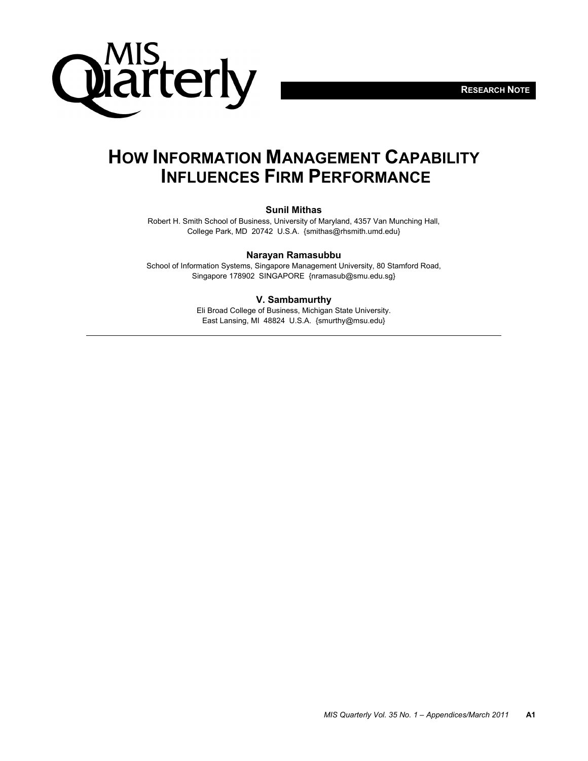



# **HOW INFORMATION MANAGEMENT CAPABILITY INFLUENCES FIRM PERFORMANCE**

#### **Sunil Mithas**

Robert H. Smith School of Business, University of Maryland, 4357 Van Munching Hall, College Park, MD 20742 U.S.A. {smithas@rhsmith.umd.edu}

#### **Narayan Ramasubbu**

School of Information Systems, Singapore Management University, 80 Stamford Road, Singapore 178902 SINGAPORE {nramasub@smu.edu.sg}

#### **V. Sambamurthy**

Eli Broad College of Business, Michigan State University. East Lansing, MI 48824 U.S.A. {smurthy@msu.edu}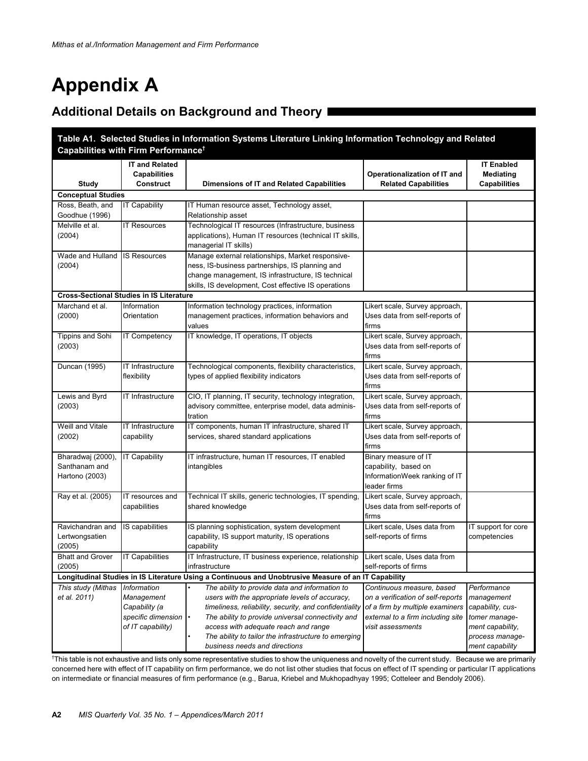# **Appendix A**

## **Additional Details on Background and Theory**

| Table A1. Selected Studies in Information Systems Literature Linking Information Technology and Related |                                                                                                      |                                                                                                                                                                                                                    |                                                                                                                                        |                                                                |  |  |
|---------------------------------------------------------------------------------------------------------|------------------------------------------------------------------------------------------------------|--------------------------------------------------------------------------------------------------------------------------------------------------------------------------------------------------------------------|----------------------------------------------------------------------------------------------------------------------------------------|----------------------------------------------------------------|--|--|
| Capabilities with Firm Performance <sup>t</sup>                                                         |                                                                                                      |                                                                                                                                                                                                                    |                                                                                                                                        |                                                                |  |  |
|                                                                                                         | <b>IT and Related</b><br><b>Capabilities</b>                                                         |                                                                                                                                                                                                                    | Operationalization of IT and                                                                                                           | <b>IT Enabled</b><br>Mediating                                 |  |  |
| Study                                                                                                   | Construct                                                                                            | Dimensions of IT and Related Capabilities                                                                                                                                                                          | <b>Related Capabilities</b>                                                                                                            | <b>Capabilities</b>                                            |  |  |
| <b>Conceptual Studies</b>                                                                               |                                                                                                      |                                                                                                                                                                                                                    |                                                                                                                                        |                                                                |  |  |
| Ross, Beath, and<br>Goodhue (1996)                                                                      | <b>IT Capability</b>                                                                                 | IT Human resource asset, Technology asset,<br>Relationship asset                                                                                                                                                   |                                                                                                                                        |                                                                |  |  |
| Melville et al.<br>(2004)                                                                               | <b>IT Resources</b>                                                                                  | Technological IT resources (Infrastructure, business<br>applications), Human IT resources (technical IT skills,<br>managerial IT skills)                                                                           |                                                                                                                                        |                                                                |  |  |
| Wade and Hulland<br>(2004)                                                                              | <b>IS Resources</b>                                                                                  | Manage external relationships, Market responsive-<br>ness, IS-business partnerships, IS planning and<br>change management, IS infrastructure, IS technical<br>skills, IS development, Cost effective IS operations |                                                                                                                                        |                                                                |  |  |
|                                                                                                         | <b>Cross-Sectional Studies in IS Literature</b>                                                      |                                                                                                                                                                                                                    |                                                                                                                                        |                                                                |  |  |
| Marchand et al.<br>(2000)                                                                               | Information<br>Orientation                                                                           | Information technology practices, information<br>management practices, information behaviors and<br>values                                                                                                         | Likert scale, Survey approach,<br>Uses data from self-reports of<br>firms                                                              |                                                                |  |  |
| Tippins and Sohi<br>(2003)                                                                              | IT Competency                                                                                        | IT knowledge, IT operations, IT objects                                                                                                                                                                            | Likert scale, Survey approach,<br>Uses data from self-reports of<br>firms                                                              |                                                                |  |  |
| Duncan (1995)                                                                                           | IT Infrastructure<br>flexibility                                                                     | Technological components, flexibility characteristics,<br>types of applied flexibility indicators                                                                                                                  | Likert scale, Survey approach,<br>Uses data from self-reports of<br>firms                                                              |                                                                |  |  |
| Lewis and Byrd<br>(2003)                                                                                | IT Infrastructure                                                                                    | CIO, IT planning, IT security, technology integration,<br>advisory committee, enterprise model, data adminis-<br>tration                                                                                           | Likert scale, Survey approach,<br>Uses data from self-reports of<br>firms                                                              |                                                                |  |  |
| Weill and Vitale<br>(2002)                                                                              | IT Infrastructure<br>capability                                                                      | IT components, human IT infrastructure, shared IT<br>services, shared standard applications                                                                                                                        | Likert scale, Survey approach,<br>Uses data from self-reports of<br>firms                                                              |                                                                |  |  |
| Bharadwaj (2000),<br>Santhanam and<br>Hartono (2003)                                                    | <b>IT Capability</b>                                                                                 | IT infrastructure, human IT resources, IT enabled<br>intangibles                                                                                                                                                   | Binary measure of IT<br>capability, based on<br>InformationWeek ranking of IT<br>leader firms                                          |                                                                |  |  |
| Ray et al. (2005)                                                                                       | IT resources and<br>capabilities                                                                     | Technical IT skills, generic technologies, IT spending,<br>shared knowledge                                                                                                                                        | Likert scale, Survey approach,<br>Uses data from self-reports of<br>firms                                                              |                                                                |  |  |
| Ravichandran and<br>Lertwongsatien<br>(2005)                                                            | IS capabilities                                                                                      | IS planning sophistication, system development<br>capability, IS support maturity, IS operations<br>capability                                                                                                     | Likert scale, Uses data from<br>self-reports of firms                                                                                  | IT support for core<br>competencies                            |  |  |
| <b>Bhatt and Grover</b><br>(2005)                                                                       | <b>IT Capabilities</b>                                                                               | IT Infrastructure, IT business experience, relationship<br>infrastructure                                                                                                                                          | Likert scale, Uses data from<br>self-reports of firms                                                                                  |                                                                |  |  |
|                                                                                                         | Longitudinal Studies in IS Literature Using a Continuous and Unobtrusive Measure of an IT Capability |                                                                                                                                                                                                                    |                                                                                                                                        |                                                                |  |  |
| This study (Mithas<br>et al. 2011)                                                                      | Information<br>Management<br>Capability (a<br>specific dimension                                     | The ability to provide data and information to<br>users with the appropriate levels of accuracy,<br>timeliness, reliability, security, and confidentiality<br>The ability to provide universal connectivity and    | Continuous measure, based<br>on a verification of self-reports<br>of a firm by multiple examiners<br>external to a firm including site | Performance<br>management<br>capability, cus-<br>tomer manage- |  |  |
|                                                                                                         | of IT capability)                                                                                    | access with adequate reach and range<br>The ability to tailor the infrastructure to emerging<br>business needs and directions                                                                                      | visit assessments                                                                                                                      | ment capability,<br>process manage-<br>ment capability         |  |  |

† This table is not exhaustive and lists only some representative studies to show the uniqueness and novelty of the current study. Because we are primarily concerned here with effect of IT capability on firm performance, we do not list other studies that focus on effect of IT spending or particular IT applications on intermediate or financial measures of firm performance (e.g., Barua, Kriebel and Mukhopadhyay 1995; Cotteleer and Bendoly 2006).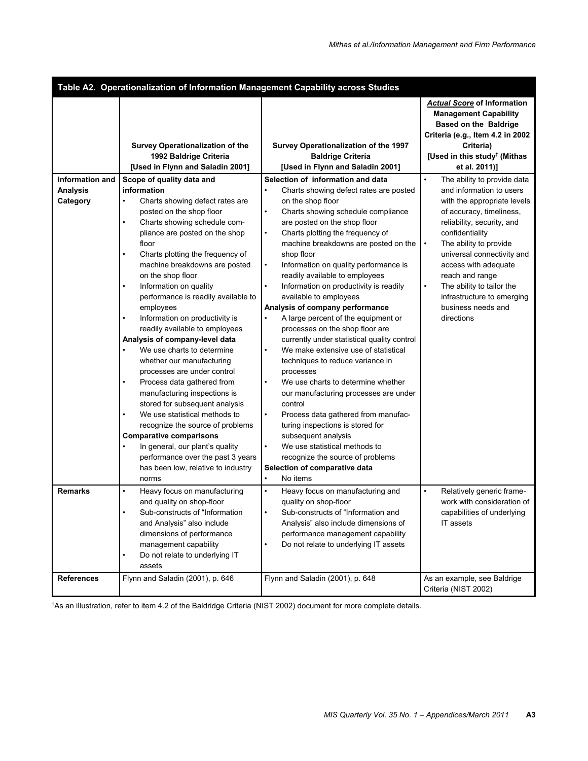|                        | Table A2. Operationalization of Information Management Capability across Studies                                                                                                                                                                                                                                                                                                                                                                                                                                                                                                                                                                                                                                                                                                                                                                                                    |                                                                                                                                                                                                                                                                                                                                                                                                                                                                                                                                                                                                                                                                                                                                                                                                                                                                                                                                                                                                             |                                                                                                                                                                                                                                                                                                                         |
|------------------------|-------------------------------------------------------------------------------------------------------------------------------------------------------------------------------------------------------------------------------------------------------------------------------------------------------------------------------------------------------------------------------------------------------------------------------------------------------------------------------------------------------------------------------------------------------------------------------------------------------------------------------------------------------------------------------------------------------------------------------------------------------------------------------------------------------------------------------------------------------------------------------------|-------------------------------------------------------------------------------------------------------------------------------------------------------------------------------------------------------------------------------------------------------------------------------------------------------------------------------------------------------------------------------------------------------------------------------------------------------------------------------------------------------------------------------------------------------------------------------------------------------------------------------------------------------------------------------------------------------------------------------------------------------------------------------------------------------------------------------------------------------------------------------------------------------------------------------------------------------------------------------------------------------------|-------------------------------------------------------------------------------------------------------------------------------------------------------------------------------------------------------------------------------------------------------------------------------------------------------------------------|
| <b>Information and</b> | Survey Operationalization of the<br>1992 Baldrige Criteria<br>[Used in Flynn and Saladin 2001]                                                                                                                                                                                                                                                                                                                                                                                                                                                                                                                                                                                                                                                                                                                                                                                      | Survey Operationalization of the 1997<br><b>Baldrige Criteria</b><br>[Used in Flynn and Saladin 2001]<br>Selection of information and data                                                                                                                                                                                                                                                                                                                                                                                                                                                                                                                                                                                                                                                                                                                                                                                                                                                                  | <b>Actual Score of Information</b><br><b>Management Capability</b><br><b>Based on the Baldrige</b><br>Criteria (e.g., Item 4.2 in 2002<br>Criteria)<br>[Used in this study <sup>†</sup> (Mithas<br>et al. 2011)]<br>$\bullet$                                                                                           |
| <b>Analysis</b>        | Scope of quality data and<br>information                                                                                                                                                                                                                                                                                                                                                                                                                                                                                                                                                                                                                                                                                                                                                                                                                                            | Charts showing defect rates are posted                                                                                                                                                                                                                                                                                                                                                                                                                                                                                                                                                                                                                                                                                                                                                                                                                                                                                                                                                                      | The ability to provide data<br>and information to users                                                                                                                                                                                                                                                                 |
| Category               | Charts showing defect rates are<br>posted on the shop floor<br>Charts showing schedule com-<br>pliance are posted on the shop<br>floor<br>Charts plotting the frequency of<br>$\bullet$<br>machine breakdowns are posted<br>on the shop floor<br>Information on quality<br>performance is readily available to<br>employees<br>Information on productivity is<br>readily available to employees<br>Analysis of company-level data<br>We use charts to determine<br>whether our manufacturing<br>processes are under control<br>Process data gathered from<br>$\bullet$<br>manufacturing inspections is<br>stored for subsequent analysis<br>We use statistical methods to<br>$\bullet$<br>recognize the source of problems<br><b>Comparative comparisons</b><br>In general, our plant's quality<br>performance over the past 3 years<br>has been low, relative to industry<br>norms | on the shop floor<br>Charts showing schedule compliance<br>$\bullet$<br>are posted on the shop floor<br>Charts plotting the frequency of<br>$\bullet$<br>machine breakdowns are posted on the<br>shop floor<br>$\bullet$<br>Information on quality performance is<br>readily available to employees<br>Information on productivity is readily<br>available to employees<br>Analysis of company performance<br>$\bullet$<br>A large percent of the equipment or<br>processes on the shop floor are<br>currently under statistical quality control<br>We make extensive use of statistical<br>techniques to reduce variance in<br>processes<br>We use charts to determine whether<br>$\bullet$<br>our manufacturing processes are under<br>control<br>Process data gathered from manufac-<br>$\bullet$<br>turing inspections is stored for<br>subsequent analysis<br>$\bullet$<br>We use statistical methods to<br>recognize the source of problems<br>Selection of comparative data<br>No items<br>$\bullet$ | with the appropriate levels<br>of accuracy, timeliness,<br>reliability, security, and<br>confidentiality<br>The ability to provide<br>$\bullet$<br>universal connectivity and<br>access with adequate<br>reach and range<br>The ability to tailor the<br>infrastructure to emerging<br>business needs and<br>directions |
| <b>Remarks</b>         | Heavy focus on manufacturing<br>$\bullet$<br>and quality on shop-floor<br>Sub-constructs of "Information<br>and Analysis" also include<br>dimensions of performance<br>management capability<br>Do not relate to underlying IT<br>assets                                                                                                                                                                                                                                                                                                                                                                                                                                                                                                                                                                                                                                            | Heavy focus on manufacturing and<br>$\bullet$<br>quality on shop-floor<br>Sub-constructs of "Information and<br>Analysis" also include dimensions of<br>performance management capability<br>Do not relate to underlying IT assets                                                                                                                                                                                                                                                                                                                                                                                                                                                                                                                                                                                                                                                                                                                                                                          | Relatively generic frame-<br>work with consideration of<br>capabilities of underlying<br>IT assets                                                                                                                                                                                                                      |
| <b>References</b>      | Flynn and Saladin (2001), p. 646                                                                                                                                                                                                                                                                                                                                                                                                                                                                                                                                                                                                                                                                                                                                                                                                                                                    | Flynn and Saladin (2001), p. 648                                                                                                                                                                                                                                                                                                                                                                                                                                                                                                                                                                                                                                                                                                                                                                                                                                                                                                                                                                            | As an example, see Baldrige<br>Criteria (NIST 2002)                                                                                                                                                                                                                                                                     |

† As an illustration, refer to item 4.2 of the Baldridge Criteria (NIST 2002) document for more complete details.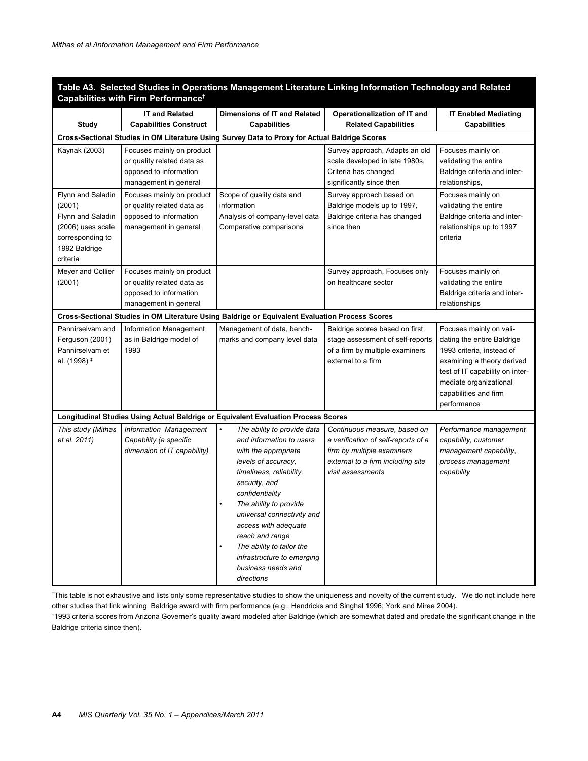|                                                                                                                        | adons management Elterature Emking imormation<br>rechnology and n<br>Capabilities with Firm Performance <sup>†</sup> |                                                                                                                                                                                                                                                                                                                                                                          |                                                                                                                                                             |                                                                                                                                                                                                                       |  |  |  |
|------------------------------------------------------------------------------------------------------------------------|----------------------------------------------------------------------------------------------------------------------|--------------------------------------------------------------------------------------------------------------------------------------------------------------------------------------------------------------------------------------------------------------------------------------------------------------------------------------------------------------------------|-------------------------------------------------------------------------------------------------------------------------------------------------------------|-----------------------------------------------------------------------------------------------------------------------------------------------------------------------------------------------------------------------|--|--|--|
| Study                                                                                                                  | <b>IT and Related</b><br><b>Capabilities Construct</b>                                                               | Dimensions of IT and Related<br><b>Capabilities</b>                                                                                                                                                                                                                                                                                                                      | Operationalization of IT and<br><b>Related Capabilities</b>                                                                                                 | <b>IT Enabled Mediating</b><br><b>Capabilities</b>                                                                                                                                                                    |  |  |  |
|                                                                                                                        |                                                                                                                      | Cross-Sectional Studies in OM Literature Using Survey Data to Proxy for Actual Baldrige Scores                                                                                                                                                                                                                                                                           |                                                                                                                                                             |                                                                                                                                                                                                                       |  |  |  |
| Kaynak (2003)                                                                                                          | Focuses mainly on product<br>or quality related data as<br>opposed to information<br>management in general           |                                                                                                                                                                                                                                                                                                                                                                          | Survey approach, Adapts an old<br>scale developed in late 1980s,<br>Criteria has changed<br>significantly since then                                        | Focuses mainly on<br>validating the entire<br>Baldrige criteria and inter-<br>relationships,                                                                                                                          |  |  |  |
| Flynn and Saladin<br>(2001)<br>Flynn and Saladin<br>(2006) uses scale<br>corresponding to<br>1992 Baldrige<br>criteria | Focuses mainly on product<br>or quality related data as<br>opposed to information<br>management in general           | Scope of quality data and<br>information<br>Analysis of company-level data<br>Comparative comparisons                                                                                                                                                                                                                                                                    | Survey approach based on<br>Baldrige models up to 1997,<br>Baldrige criteria has changed<br>since then                                                      | Focuses mainly on<br>validating the entire<br>Baldrige criteria and inter-<br>relationships up to 1997<br>criteria                                                                                                    |  |  |  |
| Meyer and Collier<br>(2001)                                                                                            | Focuses mainly on product<br>or quality related data as<br>opposed to information<br>management in general           |                                                                                                                                                                                                                                                                                                                                                                          | Survey approach, Focuses only<br>on healthcare sector                                                                                                       | Focuses mainly on<br>validating the entire<br>Baldrige criteria and inter-<br>relationships                                                                                                                           |  |  |  |
|                                                                                                                        |                                                                                                                      | Cross-Sectional Studies in OM Literature Using Baldrige or Equivalent Evaluation Process Scores                                                                                                                                                                                                                                                                          |                                                                                                                                                             |                                                                                                                                                                                                                       |  |  |  |
| Pannirselvam and<br>Ferguson (2001)<br>Pannirselvam et<br>al. (1998) <sup>‡</sup>                                      | Information Management<br>as in Baldrige model of<br>1993                                                            | Management of data, bench-<br>marks and company level data                                                                                                                                                                                                                                                                                                               | Baldrige scores based on first<br>stage assessment of self-reports<br>of a firm by multiple examiners<br>external to a firm                                 | Focuses mainly on vali-<br>dating the entire Baldrige<br>1993 criteria, instead of<br>examining a theory derived<br>test of IT capability on inter-<br>mediate organizational<br>capabilities and firm<br>performance |  |  |  |
|                                                                                                                        |                                                                                                                      | Longitudinal Studies Using Actual Baldrige or Equivalent Evaluation Process Scores                                                                                                                                                                                                                                                                                       |                                                                                                                                                             |                                                                                                                                                                                                                       |  |  |  |
| This study (Mithas<br>et al. 2011)                                                                                     | Information Management<br>Capability (a specific<br>dimension of IT capability)                                      | The ability to provide data<br>and information to users<br>with the appropriate<br>levels of accuracy,<br>timeliness, reliability,<br>security, and<br>confidentiality<br>The ability to provide<br>universal connectivity and<br>access with adequate<br>reach and range<br>The ability to tailor the<br>infrastructure to emerging<br>business needs and<br>directions | Continuous measure, based on<br>a verification of self-reports of a<br>firm by multiple examiners<br>external to a firm including site<br>visit assessments | Performance management<br>capability, customer<br>management capability,<br>process management<br>capability                                                                                                          |  |  |  |

**Table A3. Selected Studies in Operations Management Literature Linking Information Technology and Related**

† This table is not exhaustive and lists only some representative studies to show the uniqueness and novelty of the current study. We do not include here other studies that link winning Baldrige award with firm performance (e.g., Hendricks and Singhal 1996; York and Miree 2004).

‡ 1993 criteria scores from Arizona Governer's quality award modeled after Baldrige (which are somewhat dated and predate the significant change in the Baldrige criteria since then).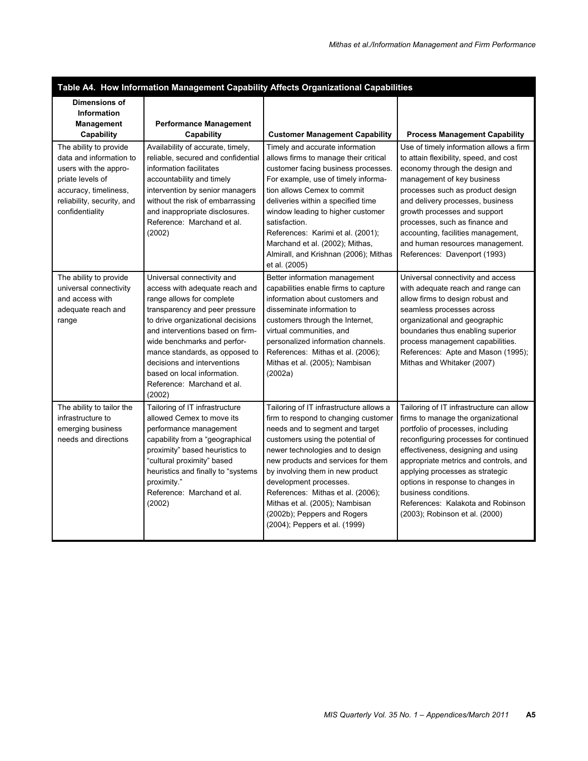|                                                                                                                                                                          |                                                                                                                                                                                                                                                                                                                                                                             | Table A4. How Information Management Capability Affects Organizational Capabilities                                                                                                                                                                                                                                                                                                                                                   |                                                                                                                                                                                                                                                                                                                                                                                                                    |
|--------------------------------------------------------------------------------------------------------------------------------------------------------------------------|-----------------------------------------------------------------------------------------------------------------------------------------------------------------------------------------------------------------------------------------------------------------------------------------------------------------------------------------------------------------------------|---------------------------------------------------------------------------------------------------------------------------------------------------------------------------------------------------------------------------------------------------------------------------------------------------------------------------------------------------------------------------------------------------------------------------------------|--------------------------------------------------------------------------------------------------------------------------------------------------------------------------------------------------------------------------------------------------------------------------------------------------------------------------------------------------------------------------------------------------------------------|
| Dimensions of<br><b>Information</b><br><b>Management</b><br>Capability                                                                                                   | <b>Performance Management</b><br>Capability                                                                                                                                                                                                                                                                                                                                 | <b>Customer Management Capability</b>                                                                                                                                                                                                                                                                                                                                                                                                 | <b>Process Management Capability</b>                                                                                                                                                                                                                                                                                                                                                                               |
| The ability to provide<br>data and information to<br>users with the appro-<br>priate levels of<br>accuracy, timeliness,<br>reliability, security, and<br>confidentiality | Availability of accurate, timely,<br>reliable, secured and confidential<br>information facilitates<br>accountability and timely<br>intervention by senior managers<br>without the risk of embarrassing<br>and inappropriate disclosures.<br>Reference: Marchand et al.<br>(2002)                                                                                            | Timely and accurate information<br>allows firms to manage their critical<br>customer facing business processes.<br>For example, use of timely informa-<br>tion allows Cemex to commit<br>deliveries within a specified time<br>window leading to higher customer<br>satisfaction.<br>References: Karimi et al. (2001);<br>Marchand et al. (2002); Mithas,<br>Almirall, and Krishnan (2006); Mithas<br>et al. (2005)                   | Use of timely information allows a firm<br>to attain flexibility, speed, and cost<br>economy through the design and<br>management of key business<br>processes such as product design<br>and delivery processes, business<br>growth processes and support<br>processes, such as finance and<br>accounting, facilities management,<br>and human resources management.<br>References: Davenport (1993)               |
| The ability to provide<br>universal connectivity<br>and access with<br>adequate reach and<br>range                                                                       | Universal connectivity and<br>access with adequate reach and<br>range allows for complete<br>transparency and peer pressure<br>to drive organizational decisions<br>and interventions based on firm-<br>wide benchmarks and perfor-<br>mance standards, as opposed to<br>decisions and interventions<br>based on local information.<br>Reference: Marchand et al.<br>(2002) | Better information management<br>capabilities enable firms to capture<br>information about customers and<br>disseminate information to<br>customers through the Internet,<br>virtual communities, and<br>personalized information channels.<br>References: Mithas et al. (2006);<br>Mithas et al. (2005); Nambisan<br>(2002a)                                                                                                         | Universal connectivity and access<br>with adequate reach and range can<br>allow firms to design robust and<br>seamless processes across<br>organizational and geographic<br>boundaries thus enabling superior<br>process management capabilities.<br>References: Apte and Mason (1995);<br>Mithas and Whitaker (2007)                                                                                              |
| The ability to tailor the<br>infrastructure to<br>emerging business<br>needs and directions                                                                              | Tailoring of IT infrastructure<br>allowed Cemex to move its<br>performance management<br>capability from a "geographical<br>proximity" based heuristics to<br>"cultural proximity" based<br>heuristics and finally to "systems<br>proximity."<br>Reference: Marchand et al.<br>(2002)                                                                                       | Tailoring of IT infrastructure allows a<br>firm to respond to changing customer<br>needs and to segment and target<br>customers using the potential of<br>newer technologies and to design<br>new products and services for them<br>by involving them in new product<br>development processes.<br>References: Mithas et al. (2006);<br>Mithas et al. (2005); Nambisan<br>(2002b); Peppers and Rogers<br>(2004); Peppers et al. (1999) | Tailoring of IT infrastructure can allow<br>firms to manage the organizational<br>portfolio of processes, including<br>reconfiguring processes for continued<br>effectiveness, designing and using<br>appropriate metrics and controls, and<br>applying processes as strategic<br>options in response to changes in<br>business conditions.<br>References: Kalakota and Robinson<br>(2003); Robinson et al. (2000) |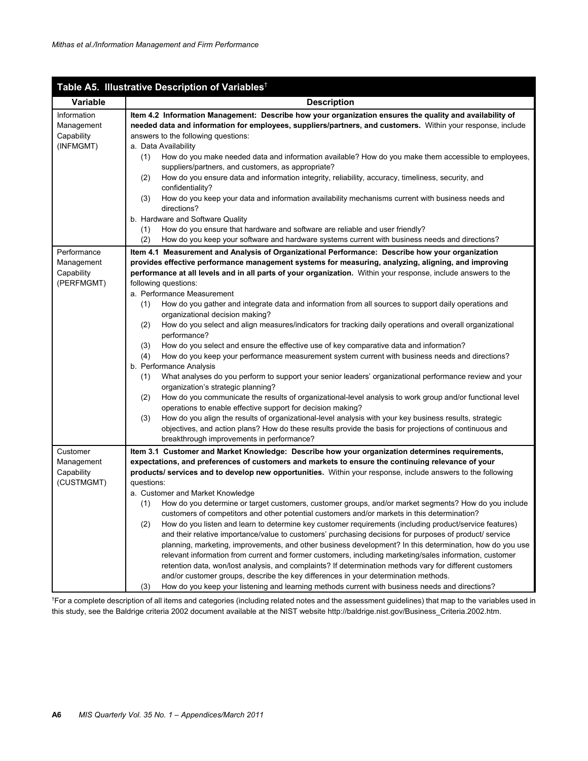|             | Table A5. Illustrative Description of Variables <sup>†</sup>                                                                                                                           |
|-------------|----------------------------------------------------------------------------------------------------------------------------------------------------------------------------------------|
| Variable    | <b>Description</b>                                                                                                                                                                     |
| Information | Item 4.2 Information Management: Describe how your organization ensures the quality and availability of                                                                                |
| Management  | needed data and information for employees, suppliers/partners, and customers. Within your response, include                                                                            |
| Capability  | answers to the following questions:                                                                                                                                                    |
| (INFMGMT)   | a. Data Availability                                                                                                                                                                   |
|             | How do you make needed data and information available? How do you make them accessible to employees,<br>(1)                                                                            |
|             | suppliers/partners, and customers, as appropriate?                                                                                                                                     |
|             | How do you ensure data and information integrity, reliability, accuracy, timeliness, security, and<br>(2)                                                                              |
|             | confidentiality?<br>How do you keep your data and information availability mechanisms current with business needs and<br>(3)                                                           |
|             | directions?                                                                                                                                                                            |
|             | b. Hardware and Software Quality                                                                                                                                                       |
|             | How do you ensure that hardware and software are reliable and user friendly?<br>(1)                                                                                                    |
|             | How do you keep your software and hardware systems current with business needs and directions?<br>(2)                                                                                  |
| Performance | Item 4.1 Measurement and Analysis of Organizational Performance: Describe how your organization                                                                                        |
| Management  | provides effective performance management systems for measuring, analyzing, aligning, and improving                                                                                    |
| Capability  | performance at all levels and in all parts of your organization. Within your response, include answers to the                                                                          |
| (PERFMGMT)  | following questions:                                                                                                                                                                   |
|             | a. Performance Measurement                                                                                                                                                             |
|             | How do you gather and integrate data and information from all sources to support daily operations and<br>(1)                                                                           |
|             | organizational decision making?                                                                                                                                                        |
|             | How do you select and align measures/indicators for tracking daily operations and overall organizational<br>(2)                                                                        |
|             | performance?                                                                                                                                                                           |
|             | How do you select and ensure the effective use of key comparative data and information?<br>(3)                                                                                         |
|             | How do you keep your performance measurement system current with business needs and directions?<br>(4)                                                                                 |
|             | b. Performance Analysis                                                                                                                                                                |
|             | What analyses do you perform to support your senior leaders' organizational performance review and your<br>(1)<br>organization's strategic planning?                                   |
|             | How do you communicate the results of organizational-level analysis to work group and/or functional level<br>(2)                                                                       |
|             | operations to enable effective support for decision making?                                                                                                                            |
|             | How do you align the results of organizational-level analysis with your key business results, strategic<br>(3)                                                                         |
|             | objectives, and action plans? How do these results provide the basis for projections of continuous and                                                                                 |
|             | breakthrough improvements in performance?                                                                                                                                              |
| Customer    | Item 3.1 Customer and Market Knowledge: Describe how your organization determines requirements,                                                                                        |
| Management  | expectations, and preferences of customers and markets to ensure the continuing relevance of your                                                                                      |
| Capability  | products/ services and to develop new opportunities. Within your response, include answers to the following                                                                            |
| (CUSTMGMT)  | questions:                                                                                                                                                                             |
|             | a. Customer and Market Knowledge                                                                                                                                                       |
|             | How do you determine or target customers, customer groups, and/or market segments? How do you include<br>(1)                                                                           |
|             | customers of competitors and other potential customers and/or markets in this determination?                                                                                           |
|             | (2)<br>How do you listen and learn to determine key customer requirements (including product/service features)                                                                         |
|             | and their relative importance/value to customers' purchasing decisions for purposes of product/ service                                                                                |
|             | planning, marketing, improvements, and other business development? In this determination, how do you use                                                                               |
|             | relevant information from current and former customers, including marketing/sales information, customer                                                                                |
|             | retention data, won/lost analysis, and complaints? If determination methods vary for different customers                                                                               |
|             | and/or customer groups, describe the key differences in your determination methods.<br>How do you keep your listening and learning methods current with business needs and directions? |
|             | (3)                                                                                                                                                                                    |

† For a complete description of all items and categories (including related notes and the assessment guidelines) that map to the variables used in this study, see the Baldrige criteria 2002 document available at the NIST website http://baldrige.nist.gov/Business\_Criteria.2002.htm.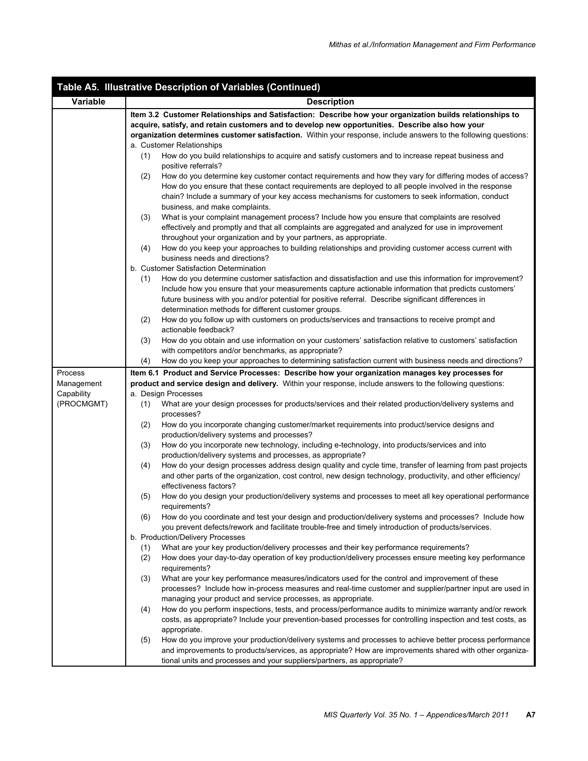|            | Table A5. Illustrative Description of Variables (Continued)                                                                                                                      |
|------------|----------------------------------------------------------------------------------------------------------------------------------------------------------------------------------|
| Variable   | <b>Description</b>                                                                                                                                                               |
|            | Item 3.2 Customer Relationships and Satisfaction: Describe how your organization builds relationships to                                                                         |
|            | acquire, satisfy, and retain customers and to develop new opportunities. Describe also how your                                                                                  |
|            | organization determines customer satisfaction. Within your response, include answers to the following questions:                                                                 |
|            | a. Customer Relationships                                                                                                                                                        |
|            | (1)<br>How do you build relationships to acquire and satisfy customers and to increase repeat business and                                                                       |
|            | positive referrals?                                                                                                                                                              |
|            | (2)<br>How do you determine key customer contact requirements and how they vary for differing modes of access?                                                                   |
|            | How do you ensure that these contact requirements are deployed to all people involved in the response                                                                            |
|            | chain? Include a summary of your key access mechanisms for customers to seek information, conduct                                                                                |
|            | business, and make complaints.                                                                                                                                                   |
|            | (3)<br>What is your complaint management process? Include how you ensure that complaints are resolved                                                                            |
|            | effectively and promptly and that all complaints are aggregated and analyzed for use in improvement                                                                              |
|            | throughout your organization and by your partners, as appropriate.                                                                                                               |
|            | How do you keep your approaches to building relationships and providing customer access current with<br>(4)<br>business needs and directions?                                    |
|            | b. Customer Satisfaction Determination                                                                                                                                           |
|            | How do you determine customer satisfaction and dissatisfaction and use this information for improvement?<br>(1)                                                                  |
|            | Include how you ensure that your measurements capture actionable information that predicts customers'                                                                            |
|            | future business with you and/or potential for positive referral. Describe significant differences in                                                                             |
|            | determination methods for different customer groups.                                                                                                                             |
|            | How do you follow up with customers on products/services and transactions to receive prompt and<br>(2)                                                                           |
|            | actionable feedback?                                                                                                                                                             |
|            | (3)<br>How do you obtain and use information on your customers' satisfaction relative to customers' satisfaction                                                                 |
|            | with competitors and/or benchmarks, as appropriate?                                                                                                                              |
|            | How do you keep your approaches to determining satisfaction current with business needs and directions?<br>(4)                                                                   |
| Process    | Item 6.1 Product and Service Processes: Describe how your organization manages key processes for                                                                                 |
| Management | product and service design and delivery. Within your response, include answers to the following questions:                                                                       |
| Capability | a. Design Processes                                                                                                                                                              |
| (PROCMGMT) | (1)<br>What are your design processes for products/services and their related production/delivery systems and                                                                    |
|            | processes?                                                                                                                                                                       |
|            | (2)<br>How do you incorporate changing customer/market requirements into product/service designs and                                                                             |
|            | production/delivery systems and processes?                                                                                                                                       |
|            | How do you incorporate new technology, including e-technology, into products/services and into<br>(3)                                                                            |
|            | production/delivery systems and processes, as appropriate?<br>How do your design processes address design quality and cycle time, transfer of learning from past projects<br>(4) |
|            | and other parts of the organization, cost control, new design technology, productivity, and other efficiency/                                                                    |
|            | effectiveness factors?                                                                                                                                                           |
|            | (5)<br>How do you design your production/delivery systems and processes to meet all key operational performance                                                                  |
|            | requirements?                                                                                                                                                                    |
|            | (6)<br>How do you coordinate and test your design and production/delivery systems and processes? Include how                                                                     |
|            | you prevent defects/rework and facilitate trouble-free and timely introduction of products/services.                                                                             |
|            | b. Production/Delivery Processes                                                                                                                                                 |
|            | What are your key production/delivery processes and their key performance requirements?<br>(1)                                                                                   |
|            | How does your day-to-day operation of key production/delivery processes ensure meeting key performance<br>(2)                                                                    |
|            | requirements?                                                                                                                                                                    |
|            | What are your key performance measures/indicators used for the control and improvement of these<br>(3)                                                                           |
|            | processes? Include how in-process measures and real-time customer and supplier/partner input are used in                                                                         |
|            | managing your product and service processes, as appropriate.                                                                                                                     |
|            | How do you perform inspections, tests, and process/performance audits to minimize warranty and/or rework<br>(4)                                                                  |
|            | costs, as appropriate? Include your prevention-based processes for controlling inspection and test costs, as                                                                     |
|            | appropriate.<br>How do you improve your production/delivery systems and processes to achieve better process performance                                                          |
|            | (5)<br>and improvements to products/services, as appropriate? How are improvements shared with other organiza-                                                                   |
|            | tional units and processes and your suppliers/partners, as appropriate?                                                                                                          |
|            |                                                                                                                                                                                  |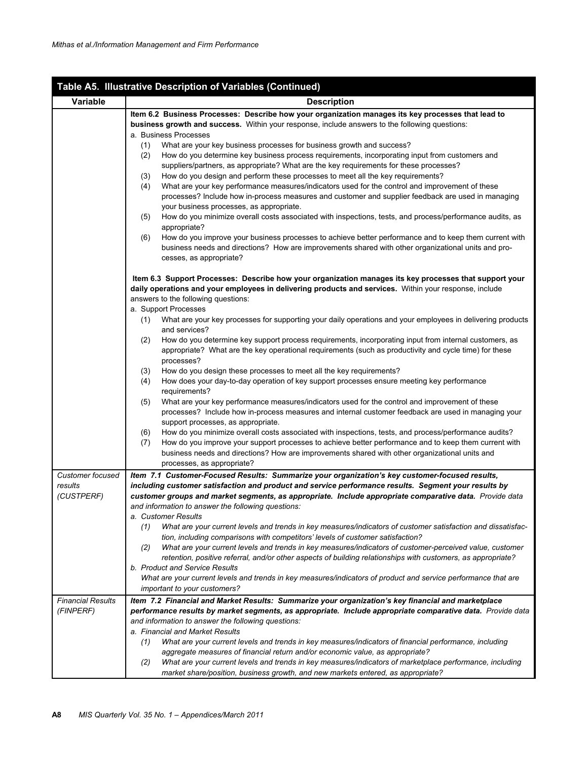|                                                  | Table A5. Illustrative Description of Variables (Continued)                                                                                                                                                                                                                                                                                                                                                                                                                                                                                                                                                                                                                                                                                                                                                                                                                                                                                                                                                                                                                                                                                                                                                                                                                                                                                                                                                                                                                               |
|--------------------------------------------------|-------------------------------------------------------------------------------------------------------------------------------------------------------------------------------------------------------------------------------------------------------------------------------------------------------------------------------------------------------------------------------------------------------------------------------------------------------------------------------------------------------------------------------------------------------------------------------------------------------------------------------------------------------------------------------------------------------------------------------------------------------------------------------------------------------------------------------------------------------------------------------------------------------------------------------------------------------------------------------------------------------------------------------------------------------------------------------------------------------------------------------------------------------------------------------------------------------------------------------------------------------------------------------------------------------------------------------------------------------------------------------------------------------------------------------------------------------------------------------------------|
| Variable                                         | <b>Description</b>                                                                                                                                                                                                                                                                                                                                                                                                                                                                                                                                                                                                                                                                                                                                                                                                                                                                                                                                                                                                                                                                                                                                                                                                                                                                                                                                                                                                                                                                        |
|                                                  | Item 6.2 Business Processes: Describe how your organization manages its key processes that lead to<br>business growth and success. Within your response, include answers to the following questions:<br>a. Business Processes<br>(1)<br>What are your key business processes for business growth and success?<br>How do you determine key business process requirements, incorporating input from customers and<br>(2)<br>suppliers/partners, as appropriate? What are the key requirements for these processes?<br>How do you design and perform these processes to meet all the key requirements?<br>(3)<br>What are your key performance measures/indicators used for the control and improvement of these<br>(4)<br>processes? Include how in-process measures and customer and supplier feedback are used in managing<br>your business processes, as appropriate.<br>How do you minimize overall costs associated with inspections, tests, and process/performance audits, as<br>(5)<br>appropriate?<br>How do you improve your business processes to achieve better performance and to keep them current with<br>(6)<br>business needs and directions? How are improvements shared with other organizational units and pro-<br>cesses, as appropriate?                                                                                                                                                                                                                              |
|                                                  | Item 6.3 Support Processes: Describe how your organization manages its key processes that support your<br>daily operations and your employees in delivering products and services. Within your response, include<br>answers to the following questions:<br>a. Support Processes<br>What are your key processes for supporting your daily operations and your employees in delivering products<br>(1)<br>and services?<br>(2)<br>How do you determine key support process requirements, incorporating input from internal customers, as<br>appropriate? What are the key operational requirements (such as productivity and cycle time) for these<br>processes?<br>(3)<br>How do you design these processes to meet all the key requirements?<br>How does your day-to-day operation of key support processes ensure meeting key performance<br>(4)<br>requirements?<br>What are your key performance measures/indicators used for the control and improvement of these<br>(5)<br>processes? Include how in-process measures and internal customer feedback are used in managing your<br>support processes, as appropriate.<br>How do you minimize overall costs associated with inspections, tests, and process/performance audits?<br>(6)<br>How do you improve your support processes to achieve better performance and to keep them current with<br>(7)<br>business needs and directions? How are improvements shared with other organizational units and<br>processes, as appropriate? |
| <b>Customer focused</b><br>results<br>(CUSTPERF) | Item 7.1 Customer-Focused Results: Summarize your organization's key customer-focused results,<br>including customer satisfaction and product and service performance results. Segment your results by<br>customer groups and market segments, as appropriate. Include appropriate comparative data. Provide data<br>and information to answer the following questions:<br>a. Customer Results<br>What are your current levels and trends in key measures/indicators of customer satisfaction and dissatisfac-<br>(1)<br>tion, including comparisons with competitors' levels of customer satisfaction?<br>What are your current levels and trends in key measures/indicators of customer-perceived value, customer<br>(2)<br>retention, positive referral, and/or other aspects of building relationships with customers, as appropriate?<br>b. Product and Service Results<br>What are your current levels and trends in key measures/indicators of product and service performance that are<br>important to your customers?                                                                                                                                                                                                                                                                                                                                                                                                                                                            |
| <b>Financial Results</b><br>(FINPERF)            | Item 7.2 Financial and Market Results: Summarize your organization's key financial and marketplace<br>performance results by market segments, as appropriate. Include appropriate comparative data. Provide data<br>and information to answer the following questions:<br>a. Financial and Market Results<br>What are your current levels and trends in key measures/indicators of financial performance, including<br>(1)<br>aggregate measures of financial return and/or economic value, as appropriate?<br>What are your current levels and trends in key measures/indicators of marketplace performance, including<br>(2)<br>market share/position, business growth, and new markets entered, as appropriate?                                                                                                                                                                                                                                                                                                                                                                                                                                                                                                                                                                                                                                                                                                                                                                        |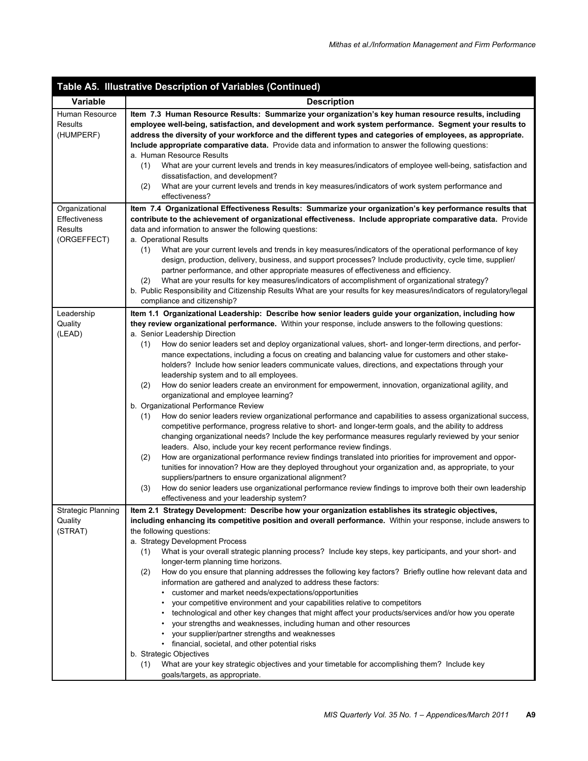| Table A5. Illustrative Description of Variables (Continued) |                                                                                                                                                                                                                                                                                                                                                                                                                                                                                                                                                                                                                                                                                                                                                                                                                                                                                                                                                                                                                                                                                                                                                                                                                                                                                                                                                                                                                                                                                                                                                                                                   |  |  |  |  |
|-------------------------------------------------------------|---------------------------------------------------------------------------------------------------------------------------------------------------------------------------------------------------------------------------------------------------------------------------------------------------------------------------------------------------------------------------------------------------------------------------------------------------------------------------------------------------------------------------------------------------------------------------------------------------------------------------------------------------------------------------------------------------------------------------------------------------------------------------------------------------------------------------------------------------------------------------------------------------------------------------------------------------------------------------------------------------------------------------------------------------------------------------------------------------------------------------------------------------------------------------------------------------------------------------------------------------------------------------------------------------------------------------------------------------------------------------------------------------------------------------------------------------------------------------------------------------------------------------------------------------------------------------------------------------|--|--|--|--|
| <b>Variable</b>                                             | <b>Description</b>                                                                                                                                                                                                                                                                                                                                                                                                                                                                                                                                                                                                                                                                                                                                                                                                                                                                                                                                                                                                                                                                                                                                                                                                                                                                                                                                                                                                                                                                                                                                                                                |  |  |  |  |
| Human Resource<br>Results<br>(HUMPERF)                      | Item 7.3 Human Resource Results: Summarize your organization's key human resource results, including<br>employee well-being, satisfaction, and development and work system performance. Segment your results to<br>address the diversity of your workforce and the different types and categories of employees, as appropriate.<br>Include appropriate comparative data. Provide data and information to answer the following questions:<br>a. Human Resource Results<br>What are your current levels and trends in key measures/indicators of employee well-being, satisfaction and<br>(1)<br>dissatisfaction, and development?<br>What are your current levels and trends in key measures/indicators of work system performance and<br>(2)                                                                                                                                                                                                                                                                                                                                                                                                                                                                                                                                                                                                                                                                                                                                                                                                                                                      |  |  |  |  |
|                                                             | effectiveness?                                                                                                                                                                                                                                                                                                                                                                                                                                                                                                                                                                                                                                                                                                                                                                                                                                                                                                                                                                                                                                                                                                                                                                                                                                                                                                                                                                                                                                                                                                                                                                                    |  |  |  |  |
| Organizational<br>Effectiveness<br>Results<br>(ORGEFFECT)   | Item 7.4 Organizational Effectiveness Results: Summarize your organization's key performance results that<br>contribute to the achievement of organizational effectiveness. Include appropriate comparative data. Provide<br>data and information to answer the following questions:<br>a. Operational Results<br>What are your current levels and trends in key measures/indicators of the operational performance of key<br>(1)<br>design, production, delivery, business, and support processes? Include productivity, cycle time, supplier/<br>partner performance, and other appropriate measures of effectiveness and efficiency.<br>What are your results for key measures/indicators of accomplishment of organizational strategy?<br>(2)<br>b. Public Responsibility and Citizenship Results What are your results for key measures/indicators of regulatory/legal<br>compliance and citizenship?                                                                                                                                                                                                                                                                                                                                                                                                                                                                                                                                                                                                                                                                                        |  |  |  |  |
| Leadership                                                  | Item 1.1 Organizational Leadership: Describe how senior leaders guide your organization, including how                                                                                                                                                                                                                                                                                                                                                                                                                                                                                                                                                                                                                                                                                                                                                                                                                                                                                                                                                                                                                                                                                                                                                                                                                                                                                                                                                                                                                                                                                            |  |  |  |  |
| Quality<br>(LEAD)                                           | they review organizational performance. Within your response, include answers to the following questions:<br>a. Senior Leadership Direction<br>How do senior leaders set and deploy organizational values, short- and longer-term directions, and perfor-<br>(1)<br>mance expectations, including a focus on creating and balancing value for customers and other stake-<br>holders? Include how senior leaders communicate values, directions, and expectations through your<br>leadership system and to all employees.<br>(2)<br>How do senior leaders create an environment for empowerment, innovation, organizational agility, and<br>organizational and employee learning?<br>b. Organizational Performance Review<br>How do senior leaders review organizational performance and capabilities to assess organizational success,<br>(1)<br>competitive performance, progress relative to short- and longer-term goals, and the ability to address<br>changing organizational needs? Include the key performance measures regularly reviewed by your senior<br>leaders. Also, include your key recent performance review findings.<br>(2)<br>How are organizational performance review findings translated into priorities for improvement and oppor-<br>tunities for innovation? How are they deployed throughout your organization and, as appropriate, to your<br>suppliers/partners to ensure organizational alignment?<br>How do senior leaders use organizational performance review findings to improve both their own leadership<br>(3)<br>effectiveness and your leadership system? |  |  |  |  |
| Strategic Planning                                          | Item 2.1 Strategy Development: Describe how your organization establishes its strategic objectives,                                                                                                                                                                                                                                                                                                                                                                                                                                                                                                                                                                                                                                                                                                                                                                                                                                                                                                                                                                                                                                                                                                                                                                                                                                                                                                                                                                                                                                                                                               |  |  |  |  |
| Quality<br>(STRAT)                                          | including enhancing its competitive position and overall performance. Within your response, include answers to<br>the following questions:<br>a. Strategy Development Process<br>What is your overall strategic planning process? Include key steps, key participants, and your short- and<br>(1)<br>longer-term planning time horizons.<br>(2)<br>How do you ensure that planning addresses the following key factors? Briefly outline how relevant data and<br>information are gathered and analyzed to address these factors:<br>• customer and market needs/expectations/opportunities<br>your competitive environment and your capabilities relative to competitors<br>technological and other key changes that might affect your products/services and/or how you operate<br>your strengths and weaknesses, including human and other resources<br>• your supplier/partner strengths and weaknesses<br>• financial, societal, and other potential risks<br>b. Strategic Objectives<br>What are your key strategic objectives and your timetable for accomplishing them? Include key<br>(1)<br>goals/targets, as appropriate.                                                                                                                                                                                                                                                                                                                                                                                                                                                                |  |  |  |  |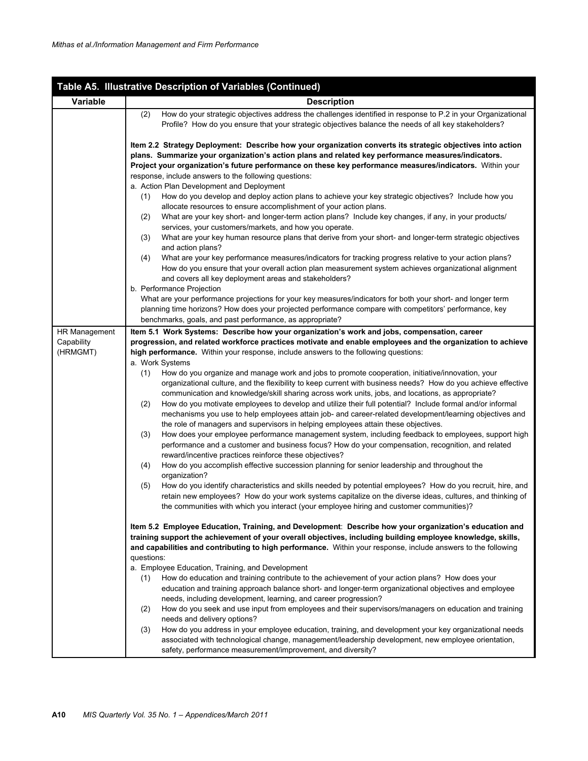|               | Table A5. Illustrative Description of Variables (Continued)                                                                                                                                                                                                                                                                                          |  |  |  |  |  |
|---------------|------------------------------------------------------------------------------------------------------------------------------------------------------------------------------------------------------------------------------------------------------------------------------------------------------------------------------------------------------|--|--|--|--|--|
| Variable      | <b>Description</b>                                                                                                                                                                                                                                                                                                                                   |  |  |  |  |  |
|               | How do your strategic objectives address the challenges identified in response to P.2 in your Organizational<br>(2)<br>Profile? How do you ensure that your strategic objectives balance the needs of all key stakeholders?                                                                                                                          |  |  |  |  |  |
|               | Item 2.2 Strategy Deployment: Describe how your organization converts its strategic objectives into action<br>plans. Summarize your organization's action plans and related key performance measures/indicators.<br>Project your organization's future performance on these key performance measures/indicators. Within your                         |  |  |  |  |  |
|               | response, include answers to the following questions:                                                                                                                                                                                                                                                                                                |  |  |  |  |  |
|               | a. Action Plan Development and Deployment                                                                                                                                                                                                                                                                                                            |  |  |  |  |  |
|               | How do you develop and deploy action plans to achieve your key strategic objectives? Include how you<br>(1)                                                                                                                                                                                                                                          |  |  |  |  |  |
|               | allocate resources to ensure accomplishment of your action plans.<br>What are your key short- and longer-term action plans? Include key changes, if any, in your products/<br>(2)                                                                                                                                                                    |  |  |  |  |  |
|               | services, your customers/markets, and how you operate.                                                                                                                                                                                                                                                                                               |  |  |  |  |  |
|               | What are your key human resource plans that derive from your short- and longer-term strategic objectives<br>(3)<br>and action plans?                                                                                                                                                                                                                 |  |  |  |  |  |
|               | What are your key performance measures/indicators for tracking progress relative to your action plans?<br>(4)<br>How do you ensure that your overall action plan measurement system achieves organizational alignment<br>and covers all key deployment areas and stakeholders?                                                                       |  |  |  |  |  |
|               | b. Performance Projection                                                                                                                                                                                                                                                                                                                            |  |  |  |  |  |
|               | What are your performance projections for your key measures/indicators for both your short- and longer term<br>planning time horizons? How does your projected performance compare with competitors' performance, key                                                                                                                                |  |  |  |  |  |
|               | benchmarks, goals, and past performance, as appropriate?                                                                                                                                                                                                                                                                                             |  |  |  |  |  |
| HR Management | Item 5.1 Work Systems: Describe how your organization's work and jobs, compensation, career                                                                                                                                                                                                                                                          |  |  |  |  |  |
| Capability    | progression, and related workforce practices motivate and enable employees and the organization to achieve                                                                                                                                                                                                                                           |  |  |  |  |  |
| (HRMGMT)      | high performance. Within your response, include answers to the following questions:                                                                                                                                                                                                                                                                  |  |  |  |  |  |
|               | a. Work Systems<br>How do you organize and manage work and jobs to promote cooperation, initiative/innovation, your<br>(1)<br>organizational culture, and the flexibility to keep current with business needs? How do you achieve effective<br>communication and knowledge/skill sharing across work units, jobs, and locations, as appropriate?     |  |  |  |  |  |
|               | How do you motivate employees to develop and utilize their full potential? Include formal and/or informal<br>(2)<br>mechanisms you use to help employees attain job- and career-related development/learning objectives and<br>the role of managers and supervisors in helping employees attain these objectives.                                    |  |  |  |  |  |
|               | How does your employee performance management system, including feedback to employees, support high<br>(3)<br>performance and a customer and business focus? How do your compensation, recognition, and related<br>reward/incentive practices reinforce these objectives?                                                                            |  |  |  |  |  |
|               | How do you accomplish effective succession planning for senior leadership and throughout the<br>(4)<br>organization?                                                                                                                                                                                                                                 |  |  |  |  |  |
|               | How do you identify characteristics and skills needed by potential employees? How do you recruit, hire, and<br>(5)<br>retain new employees? How do your work systems capitalize on the diverse ideas, cultures, and thinking of<br>the communities with which you interact (your employee hiring and customer communities)?                          |  |  |  |  |  |
|               | Item 5.2 Employee Education, Training, and Development: Describe how your organization's education and<br>training support the achievement of your overall objectives, including building employee knowledge, skills,<br>and capabilities and contributing to high performance. Within your response, include answers to the following<br>questions: |  |  |  |  |  |
|               | a. Employee Education, Training, and Development                                                                                                                                                                                                                                                                                                     |  |  |  |  |  |
|               | How do education and training contribute to the achievement of your action plans? How does your<br>(1)<br>education and training approach balance short- and longer-term organizational objectives and employee<br>needs, including development, learning, and career progression?                                                                   |  |  |  |  |  |
|               | How do you seek and use input from employees and their supervisors/managers on education and training<br>(2)                                                                                                                                                                                                                                         |  |  |  |  |  |
|               | needs and delivery options?                                                                                                                                                                                                                                                                                                                          |  |  |  |  |  |
|               | How do you address in your employee education, training, and development your key organizational needs<br>(3)<br>associated with technological change, management/leadership development, new employee orientation,<br>safety, performance measurement/improvement, and diversity?                                                                   |  |  |  |  |  |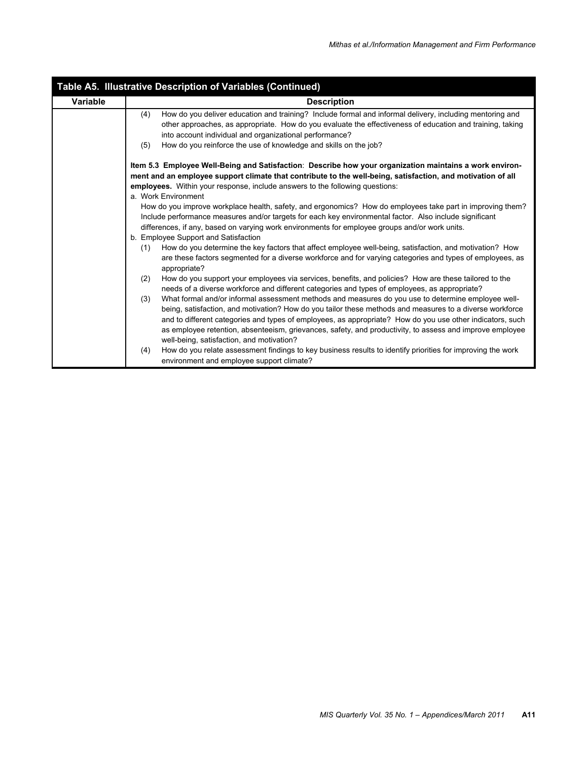| Table A5. Illustrative Description of Variables (Continued) |                                                                                                                                                                                                                                                                                                                                                                                                                                                                                             |  |  |  |  |
|-------------------------------------------------------------|---------------------------------------------------------------------------------------------------------------------------------------------------------------------------------------------------------------------------------------------------------------------------------------------------------------------------------------------------------------------------------------------------------------------------------------------------------------------------------------------|--|--|--|--|
| Variable                                                    | <b>Description</b>                                                                                                                                                                                                                                                                                                                                                                                                                                                                          |  |  |  |  |
|                                                             | How do you deliver education and training? Include formal and informal delivery, including mentoring and<br>(4)<br>other approaches, as appropriate. How do you evaluate the effectiveness of education and training, taking<br>into account individual and organizational performance?<br>How do you reinforce the use of knowledge and skills on the job?<br>(5)                                                                                                                          |  |  |  |  |
|                                                             | Item 5.3 Employee Well-Being and Satisfaction: Describe how your organization maintains a work environ-<br>ment and an employee support climate that contribute to the well-being, satisfaction, and motivation of all<br>employees. Within your response, include answers to the following questions:<br>a. Work Environment                                                                                                                                                               |  |  |  |  |
|                                                             | How do you improve workplace health, safety, and ergonomics? How do employees take part in improving them?<br>Include performance measures and/or targets for each key environmental factor. Also include significant<br>differences, if any, based on varying work environments for employee groups and/or work units.<br>b. Employee Support and Satisfaction                                                                                                                             |  |  |  |  |
|                                                             | How do you determine the key factors that affect employee well-being, satisfaction, and motivation? How<br>(1)<br>are these factors segmented for a diverse workforce and for varying categories and types of employees, as<br>appropriate?                                                                                                                                                                                                                                                 |  |  |  |  |
|                                                             | How do you support your employees via services, benefits, and policies? How are these tailored to the<br>(2)<br>needs of a diverse workforce and different categories and types of employees, as appropriate?                                                                                                                                                                                                                                                                               |  |  |  |  |
|                                                             | What formal and/or informal assessment methods and measures do you use to determine employee well-<br>(3)<br>being, satisfaction, and motivation? How do you tailor these methods and measures to a diverse workforce<br>and to different categories and types of employees, as appropriate? How do you use other indicators, such<br>as employee retention, absenteeism, grievances, safety, and productivity, to assess and improve employee<br>well-being, satisfaction, and motivation? |  |  |  |  |
|                                                             | How do you relate assessment findings to key business results to identify priorities for improving the work<br>(4)<br>environment and employee support climate?                                                                                                                                                                                                                                                                                                                             |  |  |  |  |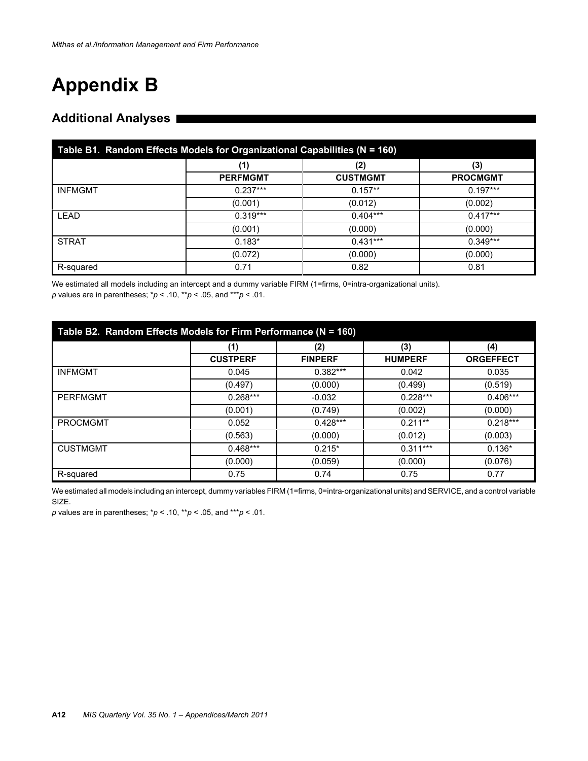# **Appendix B**

## **Additional Analyses**

| Table B1. Random Effects Models for Organizational Capabilities (N = 160) |                 |                 |                 |  |
|---------------------------------------------------------------------------|-----------------|-----------------|-----------------|--|
|                                                                           | (1)             | (2)             | (3)             |  |
|                                                                           | <b>PERFMGMT</b> | <b>CUSTMGMT</b> | <b>PROCMGMT</b> |  |
| <b>INFMGMT</b>                                                            | $0.237***$      | $0.157**$       | $0.197***$      |  |
|                                                                           | (0.001)         | (0.012)         | (0.002)         |  |
| <b>LEAD</b>                                                               | $0.319***$      | $0.404***$      | $0.417***$      |  |
|                                                                           | (0.001)         | (0.000)         | (0.000)         |  |
| <b>STRAT</b>                                                              | $0.183*$        | $0.431***$      | $0.349***$      |  |
|                                                                           | (0.072)         | (0.000)         | (0.000)         |  |
| R-squared                                                                 | 0.71            | 0.82            | 0.81            |  |

We estimated all models including an intercept and a dummy variable FIRM (1=firms, 0=intra-organizational units). *p* values are in parentheses; \**p* < .10, \*\**p* < .05, and \*\*\**p* < .01.

| Table B2. Random Effects Models for Firm Performance (N = 160) |                 |                |                |                  |  |
|----------------------------------------------------------------|-----------------|----------------|----------------|------------------|--|
|                                                                | (1)             | (2)            | (3)            | (4)              |  |
|                                                                | <b>CUSTPERF</b> | <b>FINPERF</b> | <b>HUMPERF</b> | <b>ORGEFFECT</b> |  |
| <b>INFMGMT</b>                                                 | 0.045           | $0.382***$     | 0.042          | 0.035            |  |
|                                                                | (0.497)         | (0.000)        | (0.499)        | (0.519)          |  |
| <b>PERFMGMT</b>                                                | $0.268***$      | $-0.032$       | $0.228***$     | $0.406***$       |  |
|                                                                | (0.001)         | (0.749)        | (0.002)        | (0.000)          |  |
| <b>PROCMGMT</b>                                                | 0.052           | $0.428***$     | $0.211**$      | $0.218***$       |  |
|                                                                | (0.563)         | (0.000)        | (0.012)        | (0.003)          |  |
| <b>CUSTMGMT</b>                                                | $0.468***$      | $0.215*$       | $0.311***$     | $0.136*$         |  |
|                                                                | (0.000)         | (0.059)        | (0.000)        | (0.076)          |  |
| R-squared                                                      | 0.75            | 0.74           | 0.75           | 0.77             |  |

We estimated all models including an intercept, dummy variables FIRM (1=firms, 0=intra-organizational units) and SERVICE, and a control variable SIZE.

*p* values are in parentheses; \**p* < .10, \*\**p* < .05, and \*\*\**p* < .01.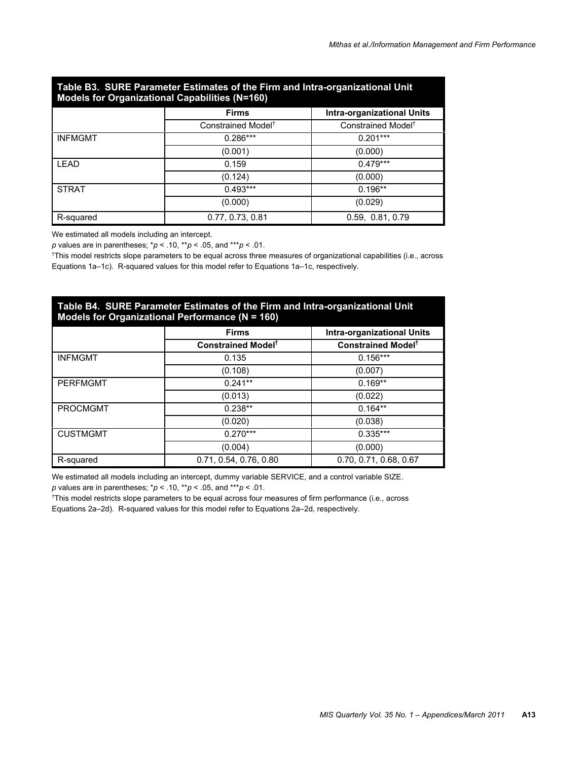| Table B3. SURE Parameter Estimates of the Firm and Intra-organizational Unit<br>Models for Organizational Capabilities (N=160) |                                |                                |  |  |
|--------------------------------------------------------------------------------------------------------------------------------|--------------------------------|--------------------------------|--|--|
|                                                                                                                                | <b>Firms</b>                   | Intra-organizational Units     |  |  |
|                                                                                                                                | Constrained Model <sup>†</sup> | Constrained Model <sup>†</sup> |  |  |
| <b>INFMGMT</b>                                                                                                                 | $0.286***$                     | $0.201***$                     |  |  |
|                                                                                                                                | (0.001)                        | (0.000)                        |  |  |
| LEAD                                                                                                                           | 0.159                          | $0.479***$                     |  |  |
|                                                                                                                                | (0.124)                        | (0.000)                        |  |  |
| <b>STRAT</b>                                                                                                                   | $0.493***$                     | $0.196**$                      |  |  |
|                                                                                                                                | (0.000)                        | (0.029)                        |  |  |
| R-squared                                                                                                                      | 0.77, 0.73, 0.81               | 0.59, 0.81, 0.79               |  |  |

# **Table B3. SURE Parameter Estimates of the Firm and Intra-organizational Unit**

We estimated all models including an intercept.

*p* values are in parentheses; \**p* < .10, \*\**p* < .05, and \*\*\**p* < .01.

† This model restricts slope parameters to be equal across three measures of organizational capabilities (i.e., across Equations 1a–1c). R-squared values for this model refer to Equations 1a–1c, respectively.

| Table B4. SURE Parameter Estimates of the Firm and Intra-organizational Unit<br>Models for Organizational Performance (N = 160) |                                      |                                      |  |  |
|---------------------------------------------------------------------------------------------------------------------------------|--------------------------------------|--------------------------------------|--|--|
|                                                                                                                                 | <b>Firms</b>                         | <b>Intra-organizational Units</b>    |  |  |
|                                                                                                                                 | <b>Constrained Model<sup>t</sup></b> | <b>Constrained Model<sup>t</sup></b> |  |  |
| <b>INFMGMT</b>                                                                                                                  | 0.135                                | $0.156***$                           |  |  |
|                                                                                                                                 | (0.108)                              | (0.007)                              |  |  |
| <b>PERFMGMT</b>                                                                                                                 | $0.241**$                            | $0.169**$                            |  |  |
|                                                                                                                                 | (0.013)                              | (0.022)                              |  |  |
| <b>PROCMGMT</b>                                                                                                                 | $0.238**$                            | $0.164**$                            |  |  |
|                                                                                                                                 | (0.020)                              | (0.038)                              |  |  |
| <b>CUSTMGMT</b>                                                                                                                 | $0.270***$                           | $0.335***$                           |  |  |
|                                                                                                                                 | (0.004)                              | (0.000)                              |  |  |
| R-squared                                                                                                                       | 0.71, 0.54, 0.76, 0.80               | 0.70, 0.71, 0.68, 0.67               |  |  |

We estimated all models including an intercept, dummy variable SERVICE, and a control variable SIZE. *p* values are in parentheses; \**p* < .10, \*\**p* < .05, and \*\*\**p* < .01.

† This model restricts slope parameters to be equal across four measures of firm performance (i.e., across Equations 2a–2d). R-squared values for this model refer to Equations 2a–2d, respectively.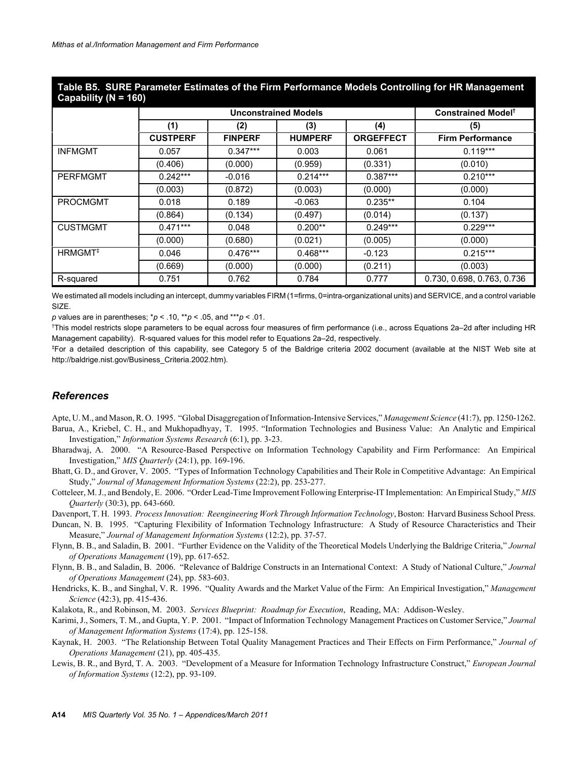| Table B5. SURE Parameter Estimates of the Firm Performance Models Controlling for HR Management |
|-------------------------------------------------------------------------------------------------|
| Capability ( $N = 160$ )                                                                        |

|                     | <b>Unconstrained Models</b> |                |                |                  | Constrained Model <sup>†</sup> |
|---------------------|-----------------------------|----------------|----------------|------------------|--------------------------------|
|                     | (1)                         | (2)            | (3)            | (4)              | (5)                            |
|                     | <b>CUSTPERF</b>             | <b>FINPERF</b> | <b>HUMPERF</b> | <b>ORGEFFECT</b> | <b>Firm Performance</b>        |
| <b>INFMGMT</b>      | 0.057                       | $0.347***$     | 0.003          | 0.061            | $0.119***$                     |
|                     | (0.406)                     | (0.000)        | (0.959)        | (0.331)          | (0.010)                        |
| <b>PERFMGMT</b>     | $0.242***$                  | $-0.016$       | $0.214***$     | $0.387***$       | $0.210***$                     |
|                     | (0.003)                     | (0.872)        | (0.003)        | (0.000)          | (0.000)                        |
| <b>PROCMGMT</b>     | 0.018                       | 0.189          | $-0.063$       | $0.235**$        | 0.104                          |
|                     | (0.864)                     | (0.134)        | (0.497)        | (0.014)          | (0.137)                        |
| <b>CUSTMGMT</b>     | $0.471***$                  | 0.048          | $0.200**$      | $0.249***$       | $0.229***$                     |
|                     | (0.000)                     | (0.680)        | (0.021)        | (0.005)          | (0.000)                        |
| HRMGMT <sup>#</sup> | 0.046                       | $0.476***$     | $0.468***$     | $-0.123$         | $0.215***$                     |
|                     | (0.669)                     | (0.000)        | (0.000)        | (0.211)          | (0.003)                        |
| R-squared           | 0.751                       | 0.762          | 0.784          | 0.777            | 0.730, 0.698, 0.763, 0.736     |

We estimated all models including an intercept, dummy variables FIRM (1=firms, 0=intra-organizational units) and SERVICE, and a control variable SIZE.

*p* values are in parentheses; \**p* < .10, \*\**p* < .05, and \*\*\**p* < .01.

† This model restricts slope parameters to be equal across four measures of firm performance (i.e., across Equations 2a–2d after including HR Management capability). R-squared values for this model refer to Equations 2a–2d, respectively.

‡ For a detailed description of this capability, see Category 5 of the Baldrige criteria 2002 document (available at the NIST Web site at http://baldrige.nist.gov/Business\_Criteria.2002.htm).

#### *References*

Apte, U. M., and Mason, R. O. 1995. "Global Disaggregation of Information-Intensive Services," *Management Science* (41:7), pp. 1250-1262. Barua, A., Kriebel, C. H., and Mukhopadhyay, T. 1995. "Information Technologies and Business Value: An Analytic and Empirical

Investigation," *Information Systems Research* (6:1), pp. 3-23.

- Bharadwaj, A. 2000. "A Resource-Based Perspective on Information Technology Capability and Firm Performance: An Empirical Investigation," *MIS Quarterly* (24:1), pp. 169-196.
- Bhatt, G. D., and Grover, V. 2005. "Types of Information Technology Capabilities and Their Role in Competitive Advantage: An Empirical Study," *Journal of Management Information Systems* (22:2), pp. 253-277.
- Cotteleer, M. J., and Bendoly, E. 2006. "Order Lead-Time Improvement Following Enterprise-IT Implementation: An Empirical Study," *MIS Quarterly* (30:3), pp. 643-660.

Davenport, T. H. 1993. *Process Innovation: Reengineering Work Through Information Technology*, Boston: Harvard Business School Press.

Duncan, N. B. 1995. "Capturing Flexibility of Information Technology Infrastructure: A Study of Resource Characteristics and Their Measure," *Journal of Management Information Systems* (12:2), pp. 37-57.

Flynn, B. B., and Saladin, B. 2001. "Further Evidence on the Validity of the Theoretical Models Underlying the Baldrige Criteria," *Journal of Operations Management* (19), pp. 617-652.

Flynn, B. B., and Saladin, B. 2006. "Relevance of Baldrige Constructs in an International Context: A Study of National Culture," *Journal of Operations Management* (24), pp. 583-603.

Hendricks, K. B., and Singhal, V. R. 1996. "Quality Awards and the Market Value of the Firm: An Empirical Investigation," *Management Science* (42:3), pp. 415-436.

Kalakota, R., and Robinson, M. 2003. *Services Blueprint: Roadmap for Execution*, Reading, MA: Addison-Wesley.

Karimi, J., Somers, T. M., and Gupta, Y. P. 2001. "Impact of Information Technology Management Practices on Customer Service," *Journal of Management Information Systems* (17:4), pp. 125-158.

Kaynak, H. 2003. "The Relationship Between Total Quality Management Practices and Their Effects on Firm Performance," *Journal of Operations Management* (21), pp. 405-435.

Lewis, B. R., and Byrd, T. A. 2003. "Development of a Measure for Information Technology Infrastructure Construct," *European Journal of Information Systems* (12:2), pp. 93-109.